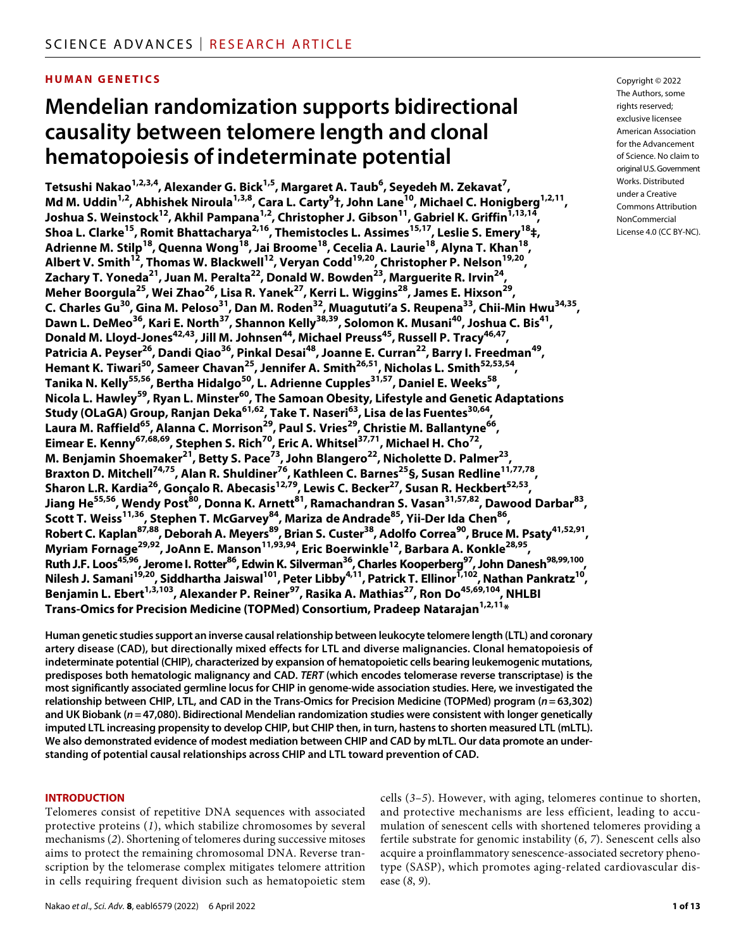# **HUMAN GENETICS**

# **Mendelian randomization supports bidirectional causality between telomere length and clonal hematopoiesis of indeterminate potential**

**Tetsushi Nakao1,2,3,4 , Alexander G. Bick1,5 , Margaret A. Taub6 , Seyedeh M. Zekavat7 , Md M. Uddin1,2 , Abhishek Niroula1,3,8 , Cara L. Carty9 †, John Lane10, Michael C. Honigberg1,2,11, Joshua S. Weinstock12, Akhil Pampana1,2 , Christopher J. Gibson11, Gabriel K. Griffin1,13,14, Shoa L. Clarke15, Romit Bhattacharya2,16, Themistocles L. Assimes15,17, Leslie S. Emery18‡, Adrienne M. Stilp18, Quenna Wong18, Jai Broome18, Cecelia A. Laurie18, Alyna T. Khan18, Albert V. Smith12, Thomas W. Blackwell12, Veryan Codd19,20, Christopher P. Nelson19,20,**  Zachary T. Yoneda<sup>21</sup>, Juan M. Peralta<sup>22</sup>, Donald W. Bowden<sup>23</sup>, Marguerite R. Irvin<sup>24</sup>, **Meher Boorgula25, Wei Zhao26, Lisa R. Yanek27, Kerri L. Wiggins28, James E. Hixson29, C. Charles Gu30, Gina M. Peloso31, Dan M. Roden32, Muagututi'a S. Reupena33, Chii-Min Hwu34,35,**  Dawn L. DeMeo<sup>36</sup>, Kari E. North<sup>37</sup>, Shannon Kelly<sup>38,39</sup>, Solomon K. Musani<sup>40</sup>, Joshua C. Bis<sup>41</sup>, **Donald M. Lloyd-Jones<sup>42,43</sup>, Jill M. Johnsen<sup>44</sup>, Michael Preuss<sup>45</sup>, Russell P. Tracy<sup>46,47</sup>,** Patricia A. Peyser<sup>26</sup>, Dandi Qiao<sup>36</sup>, Pinkal Desai<sup>48</sup>, Joanne E. Curran<sup>22</sup>, Barry I. Freedman<sup>49</sup>, Hemant K. Tiwari<sup>50</sup>, Sameer Chavan<sup>25</sup>, Jennifer A. Smith<sup>26,51</sup>, Nicholas L. Smith<sup>52,53,54</sup>, **Tanika N. Kelly55,56, Bertha Hidalgo50, L. Adrienne Cupples31,57, Daniel E. Weeks58, Nicola L. Hawley59, Ryan L. Minster60, The Samoan Obesity, Lifestyle and Genetic Adaptations Study (OLaGA) Group, Ranjan Deka61,62, Take T. Naseri63, Lisa de las Fuentes30,64,**  Laura M. Raffield<sup>65</sup>, Alanna C. Morrison<sup>29</sup>, Paul S. Vries<sup>29</sup>, Christie M. Ballantyne<sup>66</sup>, **Eimear E. Kenny67,68,69, Stephen S. Rich70, Eric A. Whitsel37,71, Michael H. Cho72, M. Benjamin Shoemaker21, Betty S. Pace73, John Blangero22, Nicholette D. Palmer23, Braxton D. Mitchell74,75, Alan R. Shuldiner76, Kathleen C. Barnes25§, Susan Redline11,77,78, Sharon L.R. Kardia26, Gonçalo R. Abecasis12,79, Lewis C. Becker27, Susan R. Heckbert52,53,**  Jiang He<sup>55,56</sup>, Wendy Post<sup>80</sup>, Donna K. Arnett<sup>81</sup>, Ramachandran S. Vasan<sup>31,57,82</sup>, Dawood Darbar<sup>83</sup>, **Scott T. Weiss11,36, Stephen T. McGarvey84, Mariza de Andrade85, Yii-Der Ida Chen86, Robert C. Kaplan87,88, Deborah A. Meyers89, Brian S. Custer38, Adolfo Correa90, Bruce M. Psaty41,52,91, Myriam Fornage<sup>29,92</sup>, JoAnn E. Manson**<sup>11,93,94</sup>, Eric Boerwinkle<sup>12</sup>, Barbara A. Konkle<sup>28,95</sup>, Ruth J.F. Loos<sup>45,96</sup>, Jerome I. Rotter<sup>86</sup>, Edwin K. Silverman<sup>36</sup>, Charles Kooperberg<sup>97</sup>, John Danesh<sup>98,99,100</sup>, **Nilesh J. Samani19,20, Siddhartha Jaiswal101, Peter Libby4,11, Patrick T. Ellinor1,102, Nathan Pankratz10, Benjamin L. Ebert<sup>1,3,103</sup>, Alexander P. Reiner<sup>97</sup>, Rasika A. Mathias<sup>27</sup>, Ron Do<sup>45,69,104</sup>, NHLBI Trans-Omics for Precision Medicine (TOPMed) Consortium, Pradeep Natarajan1,2,11\***

**Human genetic studies support an inverse causal relationship between leukocyte telomere length (LTL) and coronary artery disease (CAD), but directionally mixed effects for LTL and diverse malignancies. Clonal hematopoiesis of indeterminate potential (CHIP), characterized by expansion of hematopoietic cells bearing leukemogenic mutations, predisposes both hematologic malignancy and CAD.** *TERT* **(which encodes telomerase reverse transcriptase) is the most significantly associated germline locus for CHIP in genome-wide association studies. Here, we investigated the relationship between CHIP, LTL, and CAD in the Trans-Omics for Precision Medicine (TOPMed) program (***n* **= 63,302) and UK Biobank (***n***=47,080). Bidirectional Mendelian randomization studies were consistent with longer genetically imputed LTL increasing propensity to develop CHIP, but CHIP then, in turn, hastens to shorten measured LTL (mLTL). We also demonstrated evidence of modest mediation between CHIP and CAD by mLTL. Our data promote an understanding of potential causal relationships across CHIP and LTL toward prevention of CAD.**

#### **INTRODUCTION**

Telomeres consist of repetitive DNA sequences with associated protective proteins (*1*), which stabilize chromosomes by several mechanisms (*2*). Shortening of telomeres during successive mitoses aims to protect the remaining chromosomal DNA. Reverse transcription by the telomerase complex mitigates telomere attrition in cells requiring frequent division such as hematopoietic stem

cells (*3*–*5*). However, with aging, telomeres continue to shorten, and protective mechanisms are less efficient, leading to accumulation of senescent cells with shortened telomeres providing a fertile substrate for genomic instability (*6*, *7*). Senescent cells also acquire a proinflammatory senescence-associated secretory phenotype (SASP), which promotes aging-related cardiovascular disease (*8*, *9*).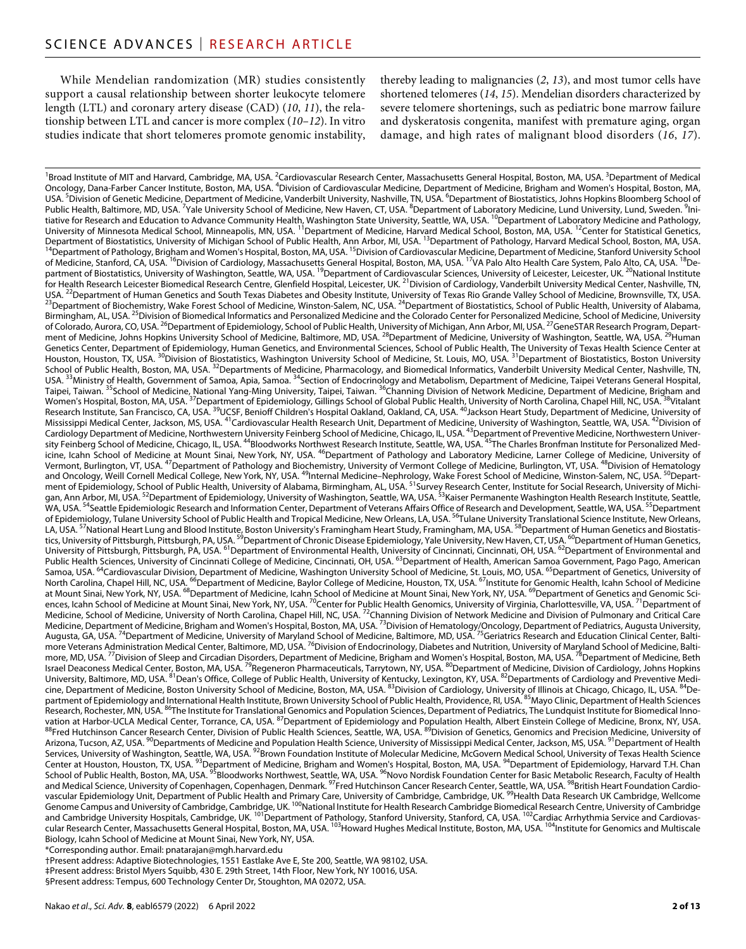While Mendelian randomization (MR) studies consistently support a causal relationship between shorter leukocyte telomere length (LTL) and coronary artery disease (CAD) (*10*, *11*), the relationship between LTL and cancer is more complex (*10*–*12*). In vitro studies indicate that short telomeres promote genomic instability,

thereby leading to malignancies (*2*, *13*), and most tumor cells have shortened telomeres (*14*, *15*). Mendelian disorders characterized by severe telomere shortenings, such as pediatric bone marrow failure and dyskeratosis congenita, manifest with premature aging, organ damage, and high rates of malignant blood disorders (*16*, *17*).

<sup>1</sup>Broad Institute of MIT and Harvard, Cambridge, MA, USA. <sup>2</sup>Cardiovascular Research Center, Massachusetts General Hospital, Boston, MA, USA. <sup>3</sup>Department of Medical Oncology, Dana-Farber Cancer Institute, Boston, MA, USA. <sup>4</sup>Division of Cardiovascular Medicine, Department of Medicine, Brigham and Women's Hospital, Boston, MA, USA. <sup>5</sup>Division of Genetic Medicine, Department of Medicine, Vanderbilt University, Nashville, TN, USA. <sup>6</sup>Department of Biostatistics, Johns Hopkins Bloomberg School of Public Health, Baltimore, MD, USA. <sup>7</sup>Yale University School of Medicine, New Haven, CT, USA. <sup>8</sup>Department of Laboratory Medicine, Lund University, Lund, Sweden. <sup>9</sup>Initiative for Research and Education to Advance Community Health, Washington State University, Seattle, WA, USA. 10Department of Laboratory Medicine and Pathology, University of Minnesota Medical School, Minneapolis, MN, USA. <sup>11</sup>Department of Medicine, Harvard Medical School, Boston, MA, USA. <sup>12</sup>Center for Statistical Genetics, Department of Biostatistics, University of Michigan School of Public Health, Ann Arbor, MI, USA. <sup>13</sup>Department of Pathology, Harvard Medical School, Boston, MA, USA. <sup>14</sup>Department of Pathology, Harvard Medical School, Bo of Medicine, Stanford, CA, USA. <sup>16</sup>Division of Cardiology, Massachusetts General Hospital, Boston, MA, USA. <sup>17</sup>VA Palo Alto Health Care System, Palo Alto, CA, USA. <sup>18</sup>Department of Biostatistics, University of Washington, Seattle, WA, USA. <sup>19</sup>Department of Cardiovascular Sciences, University of Leicester, Leicester, UK. <sup>20</sup>National Institute for Health Research Leicester Biomedical Research Centre, Glenfield Hospital, Leicester, UK. <sup>21</sup>Division of Cardiology, Vanderbilt University Medical Center, Nashville, TN, USA. <sup>22</sup>Department of Human Genetics and South <sup>23</sup>Department of Biochemistry, Wake Forest School of Medicine, Winston-Salem, NC, USA. <sup>24</sup>Department of Biostatistics, School of Public Health, University of Alabama, Birmingham, AL, USA.<sup>25</sup>Division of Biomedical Informatics and Personalized Medicine and the Colorado Center for Personalized Medicine, School of Medicine, University of Colorado, Aurora, CO, USA. <sup>26</sup>Department of Epidemiology, School of Public Health, University of Michigan, Ann Arbor, MI, USA. <sup>27</sup>GeneSTAR Research Program, Department of Medicine, Johns Hopkins University School of Medicine, Baltimore, MD, USA. <sup>28</sup>Department of Medicine, University of Washington, Seattle, WA, USA. <sup>29</sup>Human Genetics Center, Department of Epidemiology, Human Genetics, and Environmental Sciences, School of Public Health, The University of Texas Health Science Center at Houston, Houston, TX, USA. <sup>30</sup>Division of Biostatistics, Washington University School of Medicine, St. Louis, MO, USA. <sup>31</sup>Department of Biostatistics, Boston University School of Public Health, Boston, MA, USA. <sup>32</sup>Departments of Medicine, Pharmacology, and Biomedical Informatics, Vanderbilt University Medical Center, Nashville, TN, USA. <sup>33</sup>Ministry of Health, Government of Samoa, Apia, Samoa. <sup>34</sup>Section of Endocrinology and Metabolism, Department of Medicine, Taipei Veterans General Hospital, Taipei, Taiwan. <sup>35</sup>School of Medicine, National Yang-Ming University, Taipei, Taiwan. <sup>36</sup>Channing Division of Network Medicine, Department of Medicine, Brigham and Women's Hospital, Boston, MA, USA. <sup>37</sup>Department of Epidemiology, Gillings School of Global Public Health, University of North Carolina, Chapel Hill, NC, USA. <sup>38</sup>Vitalant Research Institute, San Francisco, CA, USA. <sup>39</sup>UCSF, Benioff Children's Hospital Oakland, Oakland, CA, USA. <sup>40</sup>Jackson Heart Study, Department of Medicine, University of Mississippi Medical Center, Jackson, MS, USA. <sup>41</sup>Cardiovascular Health Research Unit, Department of Medicine, University of Washington, Seattle, WA, USA. <sup>42</sup>Division of Mississippi Medical Center, Jackson, MS, USA. <sup>42</sup>D Cardiology Department of Medicine, Northwestern University Feinberg School of Medicine, Chicago, IL, USA. <sup>43</sup>Department of Preventive Medicine, Northwestern University Feinberg School of Medicine, Chicago, IL, USA. <sup>44</sup>Bloodworks Northwest Research Institute, Seattle, WA, USA. <sup>45</sup>The Charles Bronfman Institute for Personalized Medicine, Icahn School of Medicine at Mount Sinai, New York, NY, USA. <sup>46</sup>Department of Pathology and Laboratory Medicine, Larner College of Medicine, University of Vermont, Burlington, VT, USA. <sup>47</sup>Department of Pathology and Biochemistry, University of Vermont College of Medicine, Burlington, VT, USA. <sup>48</sup>Division of Hematology and Oncology, Weill Cornell Medical College, New York, NY, USA. <sup>49</sup>Internal Medicine–Nephrology, Wake Forest School of Medicine, Winston-Salem, NC, USA. <sup>50</sup>Department of Epidemiology, School of Public Health, University of Alabama, Birmingham, AL, USA. <sup>51</sup>Survey Research Center, Institute for Social Research, University of Michigan, Ann Arbor, MI, USA. <sup>52</sup>Department of Epidemiology, University of Washington, Seattle, WA, USA. <sup>53</sup>Kaiser Permanente Washington Health Research Ins<u>ti</u>tute, Seattle, WA, USA. 54Seattle Epidemiologic Research and Information Center, Department of Veterans Affairs Office of Research and Development, Seattle, WA, USA. 55Department of Epidemiology, Tulane University School of Public Health and Tropical Medicine, New Orleans, LA, USA. <sup>56</sup>Tulane University Translational Science Institute, New Orleans, LA, USA. <sup>57</sup>National Heart Lung and Blood Institute, Boston University's Framingham Heart Study, Framingham, MA, USA. <sup>58</sup>Department of Human Genetics and Biostatistics, University of Pittsburgh, Pittsburgh, PA, USA. <sup>59</sup>Department of Chronic Disease Epidemiology, Yale University, New Haven, CT, USA. <sup>60</sup>Department of Human Genetics, University of Pittsburgh, Pittsburgh, PA, USA. <sup>61</sup>Department of Environmental Health, University of Cincinnati, Cincinnati, OH, USA. <sup>62</sup>Department of Environmental and Public Health Sciences, University of Cincinnati College of Medicine, Cincinnati, OH, USA. 63Department of Health, American Samoa Government, Pago Pago, American Samoa, USA. <sup>64</sup>Cardiovascular Division, Department of Medicine, Washington University School of Medicine, St. Louis, MO, USA. <sup>65</sup>Department of Genetics, University of North Carolina, Chapel Hill, NC, USA<u>. <sup>66</sup>Department of Medicine, Baylor College of Medicine, Houston, TX, USA. <sup>67</sup>Institute for Genomic Health, Icahn School of Medicine</u> at Mount Sinai, New York, NY, USA. <sup>68</sup>Department of Medicine, Icahn School of Medicine at Mount Sinai, New York, NY, USA. <sup>69</sup>Department of Genetics and Genomic Sciences, Icahn School of Medicine at Mount Sinai, New York, NY, USA. <sup>70</sup>Center for P<u>u</u>blic Health Genomics, University of Virginia, Charlottesville, VA, USA. <sup>71</sup>Department of Medicine, School of Medicine, University of North Carolina, Chapel Hill, NC, USA. <sup>72</sup>Channing Division of Network Medicine and Division of Pulmonary and Critical Care Medicine, Department of Medicine, Brigham and Women's Hospital, Boston, MA, USA. <sup>73</sup>Division of Hematology/Oncology, Department of Pediatrics, Augusta University, Augusta, GA, USA. <sup>74</sup>Department of Medicine, University of Maryland School of Medicine, Baltimore, MD, USA. <sup>75</sup>Geriatrics Research and Education Clinical Center, Baltimore Veterans Administration Medical Center, Baltimore, MD, USA. <sup>76</sup>Division of Endocrinology, Diabetes and Nutrition, University of Maryland School of Medicine, Baltimore, MD, USA. <sup>77</sup>Division of Sleep and Circadian Disorders, Department of Medicine, Brigham and Wo<u>m</u>en's Hospital, Boston, MA, USA. <sup>78</sup>Department of Medicine, Beth Israel Deaconess Medical Center, Boston, MA, USA. <sup>79</sup>Regeneron Pharmaceuticals, Tarrytown, NY, USA. <sup>80</sup>Department of Medicine, Division of Cardiology, Johns Hopkins University, Baltimore, MD, USA. <sup>81</sup>Dean's Office, College of Public Health, University of Kentucky, Lexington, KY, USA. <sup>82</sup>Departments of Cardiology and Preventive Medicine, Department of Medicine, Boston University School of Medicine, Boston, MA, USA. <sup>83</sup>Division of Cardiology, University of Illinois at Chicago, Chicago, IL, USA. <sup>84</sup>Department of Epidemiology and International Health Institute, Brown University School of Public Health, Providence, RI, USA. <sup>85</sup>Mayo Clinic, Department of Health Sciences Research, Rochester, MN, USA. <sup>86</sup>The Institute for Translational Genomics and Population Sciences, Department of Pediatrics, The Lundquist Institute for Biomedical Innovation at Harbor-UCLA Medical Center, Torrance, CA, USA. <sup>87</sup>Department of Epidemiology and Population Health, Albert Einstein College of Medicine, Bronx, NY, USA. 88<br>Pred Hutchinson Cancer Research Center, Division of Pub Arizona, Tucson, AZ, USA. <sup>90</sup>Departments of Medicine and Population Health Science, University of Mississippi Medical Center, Jackson, MS, USA. <sup>91</sup>Department of Health Services, University of Washington, Seattle, WA, USA. <sup>92</sup>Brown Foundation Institute of Molecular Medicine, McGovern Medical School, University of Texas Health Science Center at Houston, Houston, TX, USA. <sup>93</sup>Department of Medicine, Brigham and Women's Hospital, Boston, MA, USA. <sup>94</sup>Department of Epidemiology, Harvard T.H. Chan School of Public Health, Boston, MA, USA. <sup>95</sup>Bloodworks Northwest, Seattle, WA, USA. <sup>96</sup>Novo Nordisk Foundation Center for Basic Metabolic Research, Faculty of Health and Medical Science, University of Copenhagen, Copenhagen, Denmark. <sup>97</sup>Fred Hutchinson Cancer Research Center, Seattle, WA, USA. <sup>98</sup>British Heart Foundation Cardiovascular Epidemiology Unit, Department of Public Health and Primary Care, University of Cambridge, Cambridge, UK. <sup>99</sup>Health Data Research UK Cambridge, Wellcome Genome Campus and University of Cambridge, Cambridge, UK. <sup>100</sup>National Institute for Health Research Cambridge Biomedical Research Centre, University of Cambridge and Cambridge University Hospitals, Cambridge, UK. <sup>101</sup>Department of Pathology, Stanford University, Stanford, CA, USA. <sup>102</sup>Cardiac Arrhythmia Service and Cardiovascular Research Center, Massachusetts General Hospital, Boston, MA, USA. <sup>103</sup>Howard Hughes Medical Institute, Boston, MA, USA. <sup>104</sup>Institute for Genomics and Multiscale Biology, Icahn School of Medicine at Mount Sinai, New York, NY, USA.

\*Corresponding author. Email: [pnatarajan@mgh.harvard.edu](mailto:pnatarajan@mgh.harvard.edu)

†Present address: Adaptive Biotechnologies, 1551 Eastlake Ave E, Ste 200, Seattle, WA 98102, USA. ‡Present address: Bristol Myers Squibb, 430 E. 29th Street, 14th Floor, New York, NY 10016, USA.

§Present address: Tempus, 600 Technology Center Dr, Stoughton, MA 02072, USA.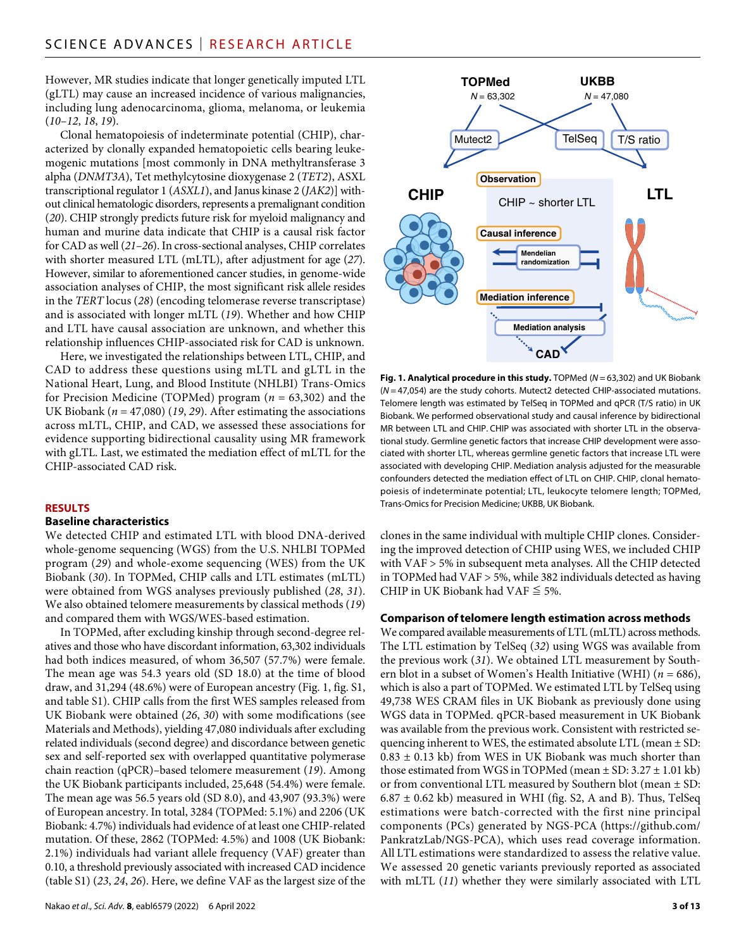However, MR studies indicate that longer genetically imputed LTL (gLTL) may cause an increased incidence of various malignancies, including lung adenocarcinoma, glioma, melanoma, or leukemia (*10*–*12*, *18*, *19*).

Clonal hematopoiesis of indeterminate potential (CHIP), characterized by clonally expanded hematopoietic cells bearing leukemogenic mutations [most commonly in DNA methyltransferase 3 alpha (*DNMT3A*), Tet methylcytosine dioxygenase 2 (*TET2*), ASXL transcriptional regulator 1 (*ASXL1*), and Janus kinase 2 (*JAK2*)] without clinical hematologic disorders, represents a premalignant condition (*20*). CHIP strongly predicts future risk for myeloid malignancy and human and murine data indicate that CHIP is a causal risk factor for CAD as well (*21*–*26*). In cross-sectional analyses, CHIP correlates with shorter measured LTL (mLTL), after adjustment for age (*27*). However, similar to aforementioned cancer studies, in genome-wide association analyses of CHIP, the most significant risk allele resides in the *TERT* locus (*28*) (encoding telomerase reverse transcriptase) and is associated with longer mLTL (*19*). Whether and how CHIP and LTL have causal association are unknown, and whether this relationship influences CHIP-associated risk for CAD is unknown.

Here, we investigated the relationships between LTL, CHIP, and CAD to address these questions using mLTL and gLTL in the National Heart, Lung, and Blood Institute (NHLBI) Trans-Omics for Precision Medicine (TOPMed) program (*n* = 63,302) and the UK Biobank (*n* = 47,080) (*19*, *29*). After estimating the associations across mLTL, CHIP, and CAD, we assessed these associations for evidence supporting bidirectional causality using MR framework with gLTL. Last, we estimated the mediation effect of mLTL for the CHIP-associated CAD risk.

#### **RESULTS**

#### **Baseline characteristics**

We detected CHIP and estimated LTL with blood DNA-derived whole-genome sequencing (WGS) from the U.S. NHLBI TOPMed program (*29*) and whole-exome sequencing (WES) from the UK Biobank (*30*). In TOPMed, CHIP calls and LTL estimates (mLTL) were obtained from WGS analyses previously published (*28*, *31*). We also obtained telomere measurements by classical methods (*19*) and compared them with WGS/WES-based estimation.

In TOPMed, after excluding kinship through second-degree relatives and those who have discordant information, 63,302 individuals had both indices measured, of whom 36,507 (57.7%) were female. The mean age was 54.3 years old (SD 18.0) at the time of blood draw, and 31,294 (48.6%) were of European ancestry (Fig. 1, fig. S1, and table S1). CHIP calls from the first WES samples released from UK Biobank were obtained (*26*, *30*) with some modifications (see Materials and Methods), yielding 47,080 individuals after excluding related individuals (second degree) and discordance between genetic sex and self-reported sex with overlapped quantitative polymerase chain reaction (qPCR)–based telomere measurement (*19*). Among the UK Biobank participants included, 25,648 (54.4%) were female. The mean age was 56.5 years old (SD 8.0), and 43,907 (93.3%) were of European ancestry. In total, 3284 (TOPMed: 5.1%) and 2206 (UK Biobank: 4.7%) individuals had evidence of at least one CHIP-related mutation. Of these, 2862 (TOPMed: 4.5%) and 1008 (UK Biobank: 2.1%) individuals had variant allele frequency (VAF) greater than 0.10, a threshold previously associated with increased CAD incidence (table S1) (*23*, *24*, *26*). Here, we define VAF as the largest size of the



**Fig. 1. Analytical procedure in this study.** TOPMed (*N* = 63,302) and UK Biobank (*N* = 47,054) are the study cohorts. Mutect2 detected CHIP-associated mutations. Telomere length was estimated by TelSeq in TOPMed and qPCR (T/S ratio) in UK Biobank. We performed observational study and causal inference by bidirectional MR between LTL and CHIP. CHIP was associated with shorter LTL in the observational study. Germline genetic factors that increase CHIP development were associated with shorter LTL, whereas germline genetic factors that increase LTL were associated with developing CHIP. Mediation analysis adjusted for the measurable confounders detected the mediation effect of LTL on CHIP. CHIP, clonal hematopoiesis of indeterminate potential; LTL, leukocyte telomere length; TOPMed, Trans-Omics for Precision Medicine; UKBB, UK Biobank.

clones in the same individual with multiple CHIP clones. Considering the improved detection of CHIP using WES, we included CHIP with VAF > 5% in subsequent meta analyses. All the CHIP detected in TOPMed had VAF > 5%, while 382 individuals detected as having CHIP in UK Biobank had VAF  $\leq$  5%.

#### **Comparison oftelomere length estimation across methods**

We compared available measurements of LTL (mLTL) across methods. The LTL estimation by TelSeq (*32*) using WGS was available from the previous work (*31*). We obtained LTL measurement by Southern blot in a subset of Women's Health Initiative (WHI) (*n =* 686), which is also a part of TOPMed. We estimated LTL by TelSeq using 49,738 WES CRAM files in UK Biobank as previously done using WGS data in TOPMed. qPCR-based measurement in UK Biobank was available from the previous work. Consistent with restricted sequencing inherent to WES, the estimated absolute LTL (mean  $\pm$  SD:  $0.83 \pm 0.13$  kb) from WES in UK Biobank was much shorter than those estimated from WGS in TOPMed (mean  $\pm$  SD: 3.27  $\pm$  1.01 kb) or from conventional LTL measured by Southern blot (mean ± SD:  $6.87 \pm 0.62$  kb) measured in WHI (fig. S2, A and B). Thus, TelSeq estimations were batch-corrected with the first nine principal components (PCs) generated by NGS-PCA ([https://github.com/](https://github.com/PankratzLab/NGS-PCA) [PankratzLab/NGS-PCA\)](https://github.com/PankratzLab/NGS-PCA), which uses read coverage information. All LTL estimations were standardized to assess the relative value. We assessed 20 genetic variants previously reported as associated with mLTL (*11*) whether they were similarly associated with LTL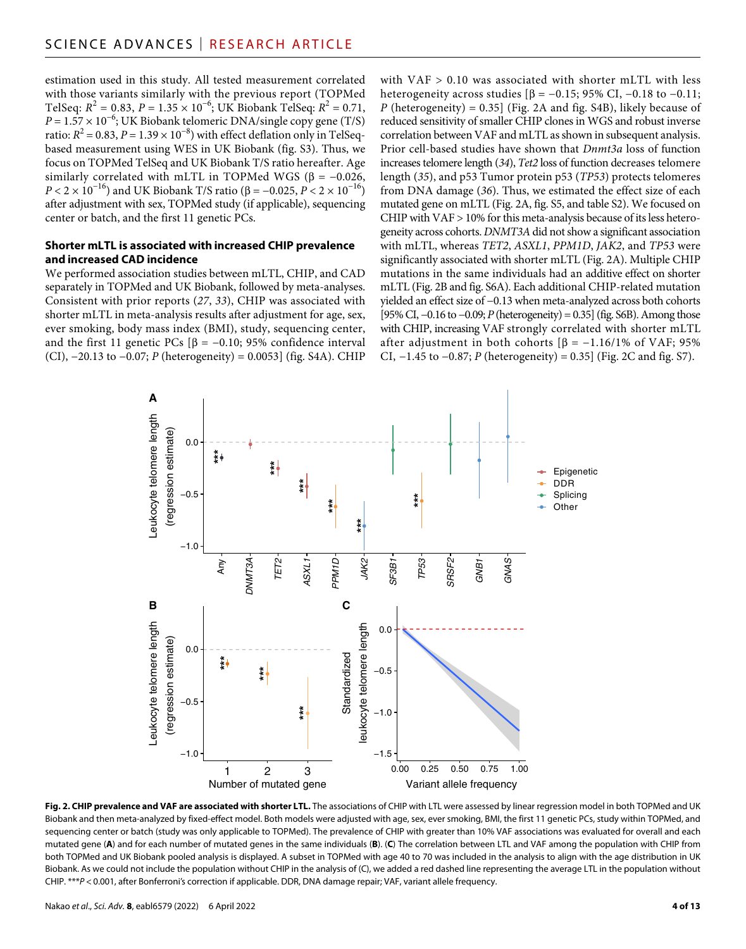estimation used in this study. All tested measurement correlated with those variants similarly with the previous report (TOPMed TelSeq:  $R^2 = 0.83$ ,  $P = 1.35 \times 10^{-6}$ ; UK Biobank TelSeq:  $R^2 = 0.71$ ,  $P = 1.57 \times 10^{-6}$ ; UK Biobank telomeric DNA/single copy gene (T/S) ratio:  $R^2$  = 0.83, *P* = 1.39 × 10<sup>-8</sup>) with effect deflation only in TelSeqbased measurement using WES in UK Biobank (fig. S3). Thus, we focus on TOPMed TelSeq and UK Biobank T/S ratio hereafter. Age similarly correlated with mLTL in TOPMed WGS ( $\beta = -0.026$ , *P* < 2 × 10<sup>-16</sup>) and UK Biobank T/S ratio (β = -0.025, *P* < 2 × 10<sup>-16</sup>) after adjustment with sex, TOPMed study (if applicable), sequencing center or batch, and the first 11 genetic PCs.

#### **Shorter mLTL is associated with increased CHIP prevalence and increased CAD incidence**

We performed association studies between mLTL, CHIP, and CAD separately in TOPMed and UK Biobank, followed by meta-analyses. Consistent with prior reports (*27*, *33*), CHIP was associated with shorter mLTL in meta-analysis results after adjustment for age, sex, ever smoking, body mass index (BMI), study, sequencing center, and the first 11 genetic PCs  $[\beta = -0.10; 95\%$  confidence interval (CI), −20.13 to −0.07; *P* (heterogeneity) = 0.0053] (fig. S4A). CHIP

with  $VAF > 0.10$  was associated with shorter mLTL with less heterogeneity across studies  $\beta = -0.15$ ; 95% CI, -0.18 to -0.11; *P* (heterogeneity) = 0.35] (Fig. 2A and fig. S4B), likely because of reduced sensitivity of smaller CHIP clones in WGS and robust inverse correlation between VAF and mLTL as shown in subsequent analysis. Prior cell-based studies have shown that *Dnmt3a* loss of function increases telomere length (*34*), *Tet2* loss of function decreases telomere length (*35*), and p53 Tumor protein p53 (*TP53*) protects telomeres from DNA damage (*36*). Thus, we estimated the effect size of each mutated gene on mLTL (Fig. 2A, fig. S5, and table S2). We focused on CHIP with VAF > 10% for this meta-analysis because of its less heterogeneity across cohorts. *DNMT3A* did not show a significant association with mLTL, whereas *TET2*, *ASXL1*, *PPM1D*, *JAK2*, and *TP53* were significantly associated with shorter mLTL (Fig. 2A). Multiple CHIP mutations in the same individuals had an additive effect on shorter mLTL (Fig. 2B and fig. S6A). Each additional CHIP-related mutation yielded an effect size of −0.13 when meta-analyzed across both cohorts [95% CI, −0.16 to −0.09; *P* (heterogeneity) = 0.35] (fig. S6B). Among those with CHIP, increasing VAF strongly correlated with shorter mLTL after adjustment in both cohorts  $\beta$  = -1.16/1% of VAF; 95% CI, −1.45 to −0.87; *P* (heterogeneity) = 0.35] (Fig. 2C and fig. S7).



Fig. 2. CHIP prevalence and VAF are associated with shorter LTL. The associations of CHIP with LTL were assessed by linear regression model in both TOPMed and UK Biobank and then meta-analyzed by fixed-effect model. Both models were adjusted with age, sex, ever smoking, BMI, the first 11 genetic PCs, study within TOPMed, and sequencing center or batch (study was only applicable to TOPMed). The prevalence of CHIP with greater than 10% VAF associations was evaluated for overall and each mutated gene (**A**) and for each number of mutated genes in the same individuals (**B**). (**C**) The correlation between LTL and VAF among the population with CHIP from both TOPMed and UK Biobank pooled analysis is displayed. A subset in TOPMed with age 40 to 70 was included in the analysis to align with the age distribution in UK Biobank. As we could not include the population without CHIP in the analysis of (C), we added a red dashed line representing the average LTL in the population without CHIP. \*\*\**P* < 0.001, after Bonferroni's correction if applicable. DDR, DNA damage repair; VAF, variant allele frequency.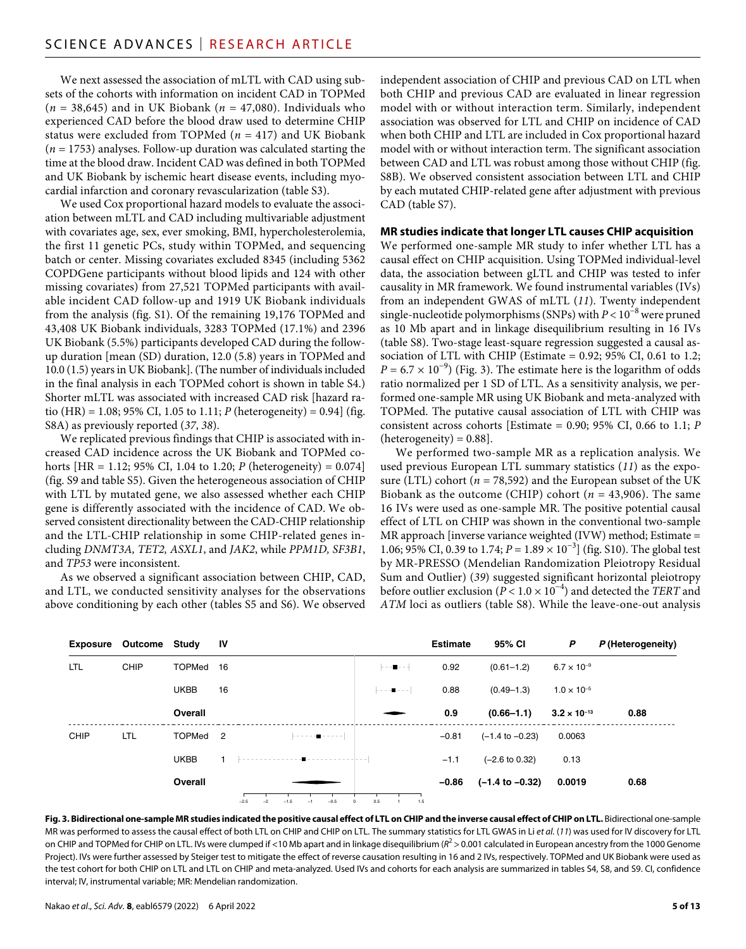We next assessed the association of mLTL with CAD using subsets of the cohorts with information on incident CAD in TOPMed (*n =* 38,645) and in UK Biobank (*n =* 47,080). Individuals who experienced CAD before the blood draw used to determine CHIP status were excluded from TOPMed (*n =* 417) and UK Biobank (*n =* 1753) analyses. Follow-up duration was calculated starting the time at the blood draw. Incident CAD was defined in both TOPMed and UK Biobank by ischemic heart disease events, including myocardial infarction and coronary revascularization (table S3).

We used Cox proportional hazard models to evaluate the association between mLTL and CAD including multivariable adjustment with covariates age, sex, ever smoking, BMI, hypercholesterolemia, the first 11 genetic PCs, study within TOPMed, and sequencing batch or center. Missing covariates excluded 8345 (including 5362 COPDGene participants without blood lipids and 124 with other missing covariates) from 27,521 TOPMed participants with available incident CAD follow-up and 1919 UK Biobank individuals from the analysis (fig. S1). Of the remaining 19,176 TOPMed and 43,408 UK Biobank individuals, 3283 TOPMed (17.1%) and 2396 UK Biobank (5.5%) participants developed CAD during the followup duration [mean (SD) duration, 12.0 (5.8) years in TOPMed and 10.0 (1.5) years in UK Biobank]. (The number of individuals included in the final analysis in each TOPMed cohort is shown in table S4.) Shorter mLTL was associated with increased CAD risk [hazard ratio (HR) = 1.08; 95% CI, 1.05 to 1.11; *P* (heterogeneity) = 0.94] (fig. S8A) as previously reported (*37*, *38*).

We replicated previous findings that CHIP is associated with increased CAD incidence across the UK Biobank and TOPMed cohorts [HR = 1.12; 95% CI, 1.04 to 1.20; *P* (heterogeneity) =  $0.074$ ] (fig. S9 and table S5). Given the heterogeneous association of CHIP with LTL by mutated gene, we also assessed whether each CHIP gene is differently associated with the incidence of CAD. We observed consistent directionality between the CAD-CHIP relationship and the LTL-CHIP relationship in some CHIP-related genes including *DNMT3A, TET2, ASXL1*, and *JAK2*, while *PPM1D, SF3B1*, and *TP53* were inconsistent.

As we observed a significant association between CHIP, CAD, and LTL, we conducted sensitivity analyses for the observations above conditioning by each other (tables S5 and S6). We observed independent association of CHIP and previous CAD on LTL when both CHIP and previous CAD are evaluated in linear regression model with or without interaction term. Similarly, independent association was observed for LTL and CHIP on incidence of CAD when both CHIP and LTL are included in Cox proportional hazard model with or without interaction term. The significant association between CAD and LTL was robust among those without CHIP (fig. S8B). We observed consistent association between LTL and CHIP by each mutated CHIP-related gene after adjustment with previous CAD (table S7).

#### **MR studies indicate that longer LTL causes CHIP acquisition**

We performed one-sample MR study to infer whether LTL has a causal effect on CHIP acquisition. Using TOPMed individual-level data, the association between gLTL and CHIP was tested to infer causality in MR framework. We found instrumental variables (IVs) from an independent GWAS of mLTL (*11*). Twenty independent single-nucleotide polymorphisms (SNPs) with *P* < 10−8 were pruned as 10 Mb apart and in linkage disequilibrium resulting in 16 IVs (table S8). Two-stage least-square regression suggested a causal association of LTL with CHIP (Estimate =  $0.92$ ;  $95\%$  CI,  $0.61$  to 1.2;  $P = 6.7 \times 10^{-9}$ ) (Fig. 3). The estimate here is the logarithm of odds ratio normalized per 1 SD of LTL. As a sensitivity analysis, we performed one-sample MR using UK Biobank and meta-analyzed with TOPMed. The putative causal association of LTL with CHIP was consistent across cohorts [Estimate = 0.90; 95% CI, 0.66 to 1.1; *P*  $(heterogeneity) = 0.88$ ].

We performed two-sample MR as a replication analysis. We used previous European LTL summary statistics (*11*) as the exposure (LTL) cohort ( $n = 78,592$ ) and the European subset of the UK Biobank as the outcome (CHIP) cohort (*n =* 43,906). The same 16 IVs were used as one-sample MR. The positive potential causal effect of LTL on CHIP was shown in the conventional two-sample MR approach [inverse variance weighted (IVW) method; Estimate = 1.06; 95% CI, 0.39 to 1.74; *P* = 1.89 × 10−3] (fig. S10). The global test by MR-PRESSO (Mendelian Randomization Pleiotropy Residual Sum and Outlier) (*39*) suggested significant horizontal pleiotropy before outlier exclusion (*P* < 1.0 × 10−4) and detected the *TERT* and *ATM* loci as outliers (table S8). While the leave-one-out analysis

|            | Exposure Outcome Study |                     | - IV                                                     |                                                                                                                                                        | <b>Estimate</b> | 95% CI                     | P                     | P (Heterogeneity) |
|------------|------------------------|---------------------|----------------------------------------------------------|--------------------------------------------------------------------------------------------------------------------------------------------------------|-----------------|----------------------------|-----------------------|-------------------|
| <b>LTL</b> | <b>CHIP</b>            | TOPMed 16           |                                                          | $\frac{1}{2} \left[ \begin{array}{cc} 1 & 0 \\ 0 & -1 \end{array} \right] = \frac{1}{2} \left[ \begin{array}{cc} 1 & 0 \\ 0 & -1 \end{array} \right].$ | 0.92            | $(0.61 - 1.2)$             | $6.7 \times 10^{-9}$  |                   |
|            |                        | <b>UKBB</b>         | 16                                                       | $\sim$ $       -$                                                                                                                                      | 0.88            | $(0.49 - 1.3)$             | $1.0 \times 10^{-5}$  |                   |
|            |                        | Overall             |                                                          |                                                                                                                                                        | 0.9             | $(0.66 - 1.1)$             | $3.2 \times 10^{-13}$ | 0.88              |
| CHIP       | <b>LTL</b>             | TOPMed <sub>2</sub> | <b>Provident Control</b>                                 |                                                                                                                                                        | $-0.81$         | $(-1.4 \text{ to } -0.23)$ | 0.0063                |                   |
|            |                        | <b>UKBB</b>         |                                                          |                                                                                                                                                        | $-1.1$          | $(-2.6 \text{ to } 0.32)$  | 0.13                  |                   |
|            |                        | Overall             |                                                          |                                                                                                                                                        | $-0.86$         | (-1.4 to -0.32)            | 0.0019                | 0.68              |
|            |                        |                     | $-0.5$<br>$-2.5$<br>$-1.5$<br>$-2$<br>$-1$<br>$^{\circ}$ | 0.5<br>1.5                                                                                                                                             |                 |                            |                       |                   |

**Fig. 3. Bidirectional one-sample MR studies indicated the positive causal effect of LTL on CHIP and the inverse causal effect of CHIP on LTL.** Bidirectional one-sample MR was performed to assess the causal effect of both LTL on CHIP and CHIP on LTL. The summary statistics for LTL GWAS in Li *et al.* (*11*) was used for IV discovery for LTL on CHIP and TOPMed for CHIP on LTL. IVs were clumped if <10 Mb apart and in linkage disequilibrium ( $R^2 > 0.001$  calculated in European ancestry from the 1000 Genome Project). IVs were further assessed by Steiger test to mitigate the effect of reverse causation resulting in 16 and 2 IVs, respectively. TOPMed and UK Biobank were used as the test cohort for both CHIP on LTL and LTL on CHIP and meta-analyzed. Used IVs and cohorts for each analysis are summarized in tables S4, S8, and S9. CI, confidence interval; IV, instrumental variable; MR: Mendelian randomization.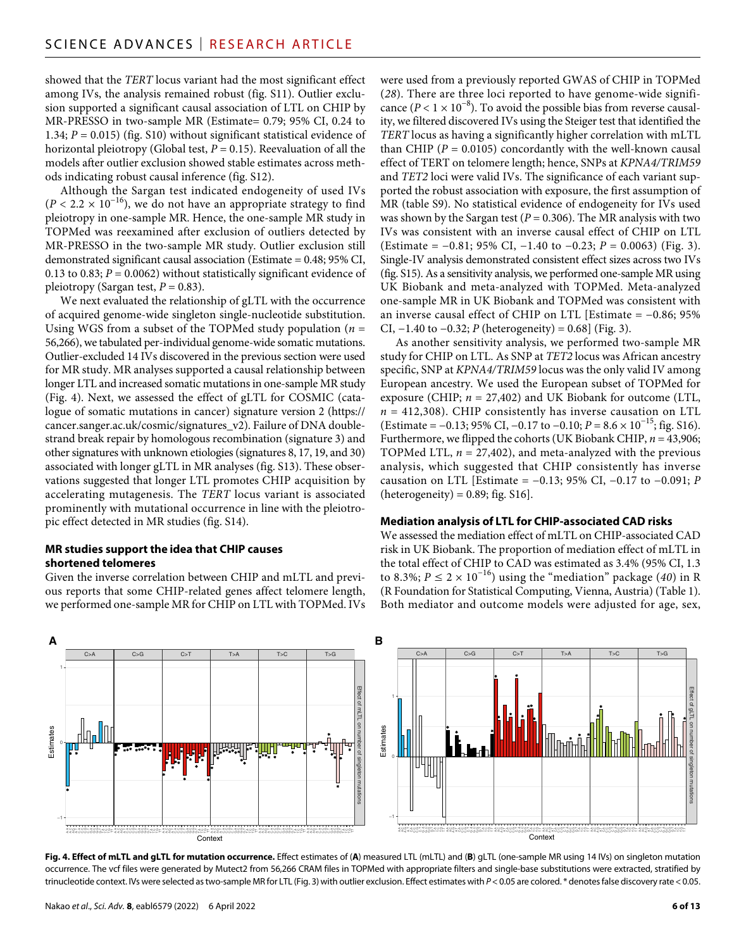showed that the *TERT* locus variant had the most significant effect among IVs, the analysis remained robust (fig. S11). Outlier exclusion supported a significant causal association of LTL on CHIP by MR-PRESSO in two-sample MR (Estimate= 0.79; 95% CI, 0.24 to 1.34; *P* = 0.015) (fig. S10) without significant statistical evidence of horizontal pleiotropy (Global test,  $P = 0.15$ ). Reevaluation of all the models after outlier exclusion showed stable estimates across methods indicating robust causal inference (fig. S12).

Although the Sargan test indicated endogeneity of used IVs  $(P < 2.2 \times 10^{-16})$ , we do not have an appropriate strategy to find pleiotropy in one-sample MR. Hence, the one-sample MR study in TOPMed was reexamined after exclusion of outliers detected by MR-PRESSO in the two-sample MR study. Outlier exclusion still demonstrated significant causal association (Estimate = 0.48; 95% CI, 0.13 to 0.83;  $P = 0.0062$ ) without statistically significant evidence of pleiotropy (Sargan test,  $P = 0.83$ ).

We next evaluated the relationship of gLTL with the occurrence of acquired genome-wide singleton single-nucleotide substitution. Using WGS from a subset of the TOPMed study population (*n* = 56,266), we tabulated per-individual genome-wide somatic mutations. Outlier-excluded 14 IVs discovered in the previous section were used for MR study. MR analyses supported a causal relationship between longer LTL and increased somatic mutations in one-sample MR study (Fig. 4). Next, we assessed the effect of gLTL for COSMIC (catalogue of somatic mutations in cancer) signature version 2 [\(https://](https://cancer.sanger) [cancer.sanger.](https://cancer.sanger)ac.uk/cosmic/signatures\_v2). Failure of DNA doublestrand break repair by homologous recombination (signature 3) and other signatures with unknown etiologies (signatures 8, 17, 19, and 30) associated with longer gLTL in MR analyses (fig. S13). These observations suggested that longer LTL promotes CHIP acquisition by accelerating mutagenesis. The *TERT* locus variant is associated prominently with mutational occurrence in line with the pleiotropic effect detected in MR studies (fig. S14).

#### **MR studies support the idea that CHIP causes shortened telomeres**

Given the inverse correlation between CHIP and mLTL and previous reports that some CHIP-related genes affect telomere length, we performed one-sample MR for CHIP on LTL with TOPMed. IVs were used from a previously reported GWAS of CHIP in TOPMed (*28*). There are three loci reported to have genome-wide significance ( $P < 1 \times 10^{-8}$ ). To avoid the possible bias from reverse causality, we filtered discovered IVs using the Steiger test that identified the *TERT* locus as having a significantly higher correlation with mLTL than CHIP ( $P = 0.0105$ ) concordantly with the well-known causal effect of TERT on telomere length; hence, SNPs at *KPNA4/TRIM59* and *TET2* loci were valid IVs. The significance of each variant supported the robust association with exposure, the first assumption of MR (table S9). No statistical evidence of endogeneity for IVs used was shown by the Sargan test ( $P = 0.306$ ). The MR analysis with two IVs was consistent with an inverse causal effect of CHIP on LTL (Estimate = −0.81; 95% CI, −1.40 to −0.23; *P* = 0.0063) (Fig. 3). Single-IV analysis demonstrated consistent effect sizes across two IVs (fig. S15). As a sensitivity analysis, we performed one-sample MR using UK Biobank and meta-analyzed with TOPMed. Meta-analyzed one-sample MR in UK Biobank and TOPMed was consistent with an inverse causal effect of CHIP on LTL [Estimate = −0.86; 95% CI, −1.40 to −0.32; *P* (heterogeneity) = 0.68] (Fig. 3).

As another sensitivity analysis, we performed two-sample MR study for CHIP on LTL. As SNP at *TET2* locus was African ancestry specific, SNP at *KPNA4/TRIM59* locus was the only valid IV among European ancestry. We used the European subset of TOPMed for exposure (CHIP; *n* = 27,402) and UK Biobank for outcome (LTL,  $n = 412,308$ ). CHIP consistently has inverse causation on LTL (Estimate = −0.13; 95% CI, −0.17 to −0.10; *P* = 8.6 × 10−15; fig. S16). Furthermore, we flipped the cohorts (UK Biobank CHIP, *n* = 43,906; TOPMed LTL,  $n = 27,402$ ), and meta-analyzed with the previous analysis, which suggested that CHIP consistently has inverse causation on LTL [Estimate = −0.13; 95% CI, −0.17 to −0.091; *P*  $(heterogeneity) = 0.89; fig. S16$ .

#### **Mediation analysis of LTL for CHIP-associated CAD risks**

We assessed the mediation effect of mLTL on CHIP-associated CAD risk in UK Biobank. The proportion of mediation effect of mLTL in the total effect of CHIP to CAD was estimated as 3.4% (95% CI, 1.3 to 8.3%;  $P \le 2 \times 10^{-16}$ ) using the "mediation" package (40) in R (R Foundation for Statistical Computing, Vienna, Austria) (Table 1). Both mediator and outcome models were adjusted for age, sex,



**Fig. 4. Effect of mLTL and gLTL for mutation occurrence.** Effect estimates of (**A**) measured LTL (mLTL) and (**B**) gLTL (one-sample MR using 14 IVs) on singleton mutation occurrence. The vcf files were generated by Mutect2 from 56,266 CRAM files in TOPMed with appropriate filters and single-base substitutions were extracted, stratified by trinucleotide context. IVs were selected as two-sample MR for LTL (Fig. 3) with outlier exclusion. Effect estimates with *P*<0.05 are colored. \* denotes false discovery rate<0.05.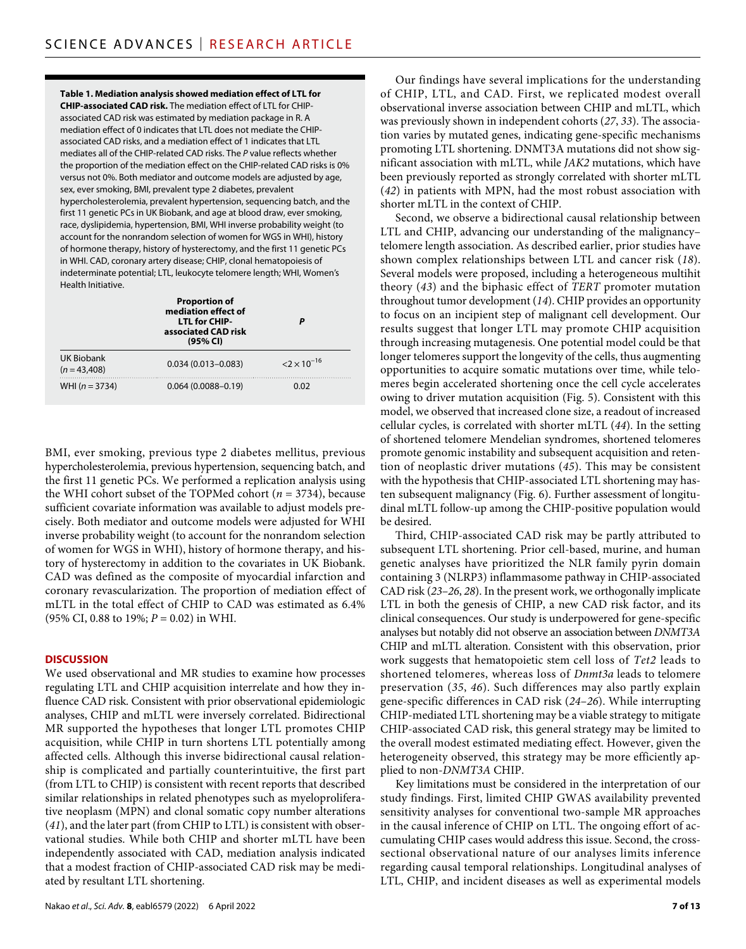**Table 1. Mediation analysis showed mediation effect of LTL for CHIP-associated CAD risk.** The mediation effect of LTL for CHIPassociated CAD risk was estimated by mediation package in R. A mediation effect of 0 indicates that LTL does not mediate the CHIPassociated CAD risks, and a mediation effect of 1 indicates that LTL mediates all of the CHIP-related CAD risks. The *P* value reflects whether the proportion of the mediation effect on the CHIP-related CAD risks is 0% versus not 0%. Both mediator and outcome models are adjusted by age, sex, ever smoking, BMI, prevalent type 2 diabetes, prevalent hypercholesterolemia, prevalent hypertension, sequencing batch, and the first 11 genetic PCs in UK Biobank, and age at blood draw, ever smoking, race, dyslipidemia, hypertension, BMI, WHI inverse probability weight (to account for the nonrandom selection of women for WGS in WHI), history of hormone therapy, history of hysterectomy, and the first 11 genetic PCs in WHI. CAD, coronary artery disease; CHIP, clonal hematopoiesis of indeterminate potential; LTL, leukocyte telomere length; WHI, Women's Health Initiative.

|                            | <b>Proportion of</b><br>mediation effect of<br><b>LTL for CHIP-</b><br>associated CAD risk<br>(95% CI) | P                                   |
|----------------------------|--------------------------------------------------------------------------------------------------------|-------------------------------------|
| UK Biobank<br>$(n=43,408)$ | $0.034(0.013 - 0.083)$                                                                                 | $\langle 2 \times 10^{-16} \rangle$ |
| WHI $(n = 3734)$           | $0.064(0.0088 - 0.19)$                                                                                 | 0.02                                |

BMI, ever smoking, previous type 2 diabetes mellitus, previous hypercholesterolemia, previous hypertension, sequencing batch, and the first 11 genetic PCs. We performed a replication analysis using the WHI cohort subset of the TOPMed cohort ( $n = 3734$ ), because sufficient covariate information was available to adjust models precisely. Both mediator and outcome models were adjusted for WHI inverse probability weight (to account for the nonrandom selection of women for WGS in WHI), history of hormone therapy, and history of hysterectomy in addition to the covariates in UK Biobank. CAD was defined as the composite of myocardial infarction and coronary revascularization. The proportion of mediation effect of mLTL in the total effect of CHIP to CAD was estimated as 6.4% (95% CI, 0.88 to 19%; *P* = 0.02) in WHI.

#### **DISCUSSION**

We used observational and MR studies to examine how processes regulating LTL and CHIP acquisition interrelate and how they influence CAD risk. Consistent with prior observational epidemiologic analyses, CHIP and mLTL were inversely correlated. Bidirectional MR supported the hypotheses that longer LTL promotes CHIP acquisition, while CHIP in turn shortens LTL potentially among affected cells. Although this inverse bidirectional causal relationship is complicated and partially counterintuitive, the first part (from LTL to CHIP) is consistent with recent reports that described similar relationships in related phenotypes such as myeloproliferative neoplasm (MPN) and clonal somatic copy number alterations (*41*), and the later part (from CHIP to LTL) is consistent with observational studies. While both CHIP and shorter mLTL have been independently associated with CAD, mediation analysis indicated that a modest fraction of CHIP-associated CAD risk may be mediated by resultant LTL shortening.

Our findings have several implications for the understanding of CHIP, LTL, and CAD. First, we replicated modest overall observational inverse association between CHIP and mLTL, which was previously shown in independent cohorts (*27*, *33*). The association varies by mutated genes, indicating gene-specific mechanisms promoting LTL shortening. DNMT3A mutations did not show significant association with mLTL, while *JAK2* mutations, which have been previously reported as strongly correlated with shorter mLTL (*42*) in patients with MPN, had the most robust association with shorter mLTL in the context of CHIP.

Second, we observe a bidirectional causal relationship between LTL and CHIP, advancing our understanding of the malignancy– telomere length association. As described earlier, prior studies have shown complex relationships between LTL and cancer risk (*18*). Several models were proposed, including a heterogeneous multihit theory (*43*) and the biphasic effect of *TERT* promoter mutation throughout tumor development (*14*). CHIP provides an opportunity to focus on an incipient step of malignant cell development. Our results suggest that longer LTL may promote CHIP acquisition through increasing mutagenesis. One potential model could be that longer telomeres support the longevity of the cells, thus augmenting opportunities to acquire somatic mutations over time, while telomeres begin accelerated shortening once the cell cycle accelerates owing to driver mutation acquisition (Fig. 5). Consistent with this model, we observed that increased clone size, a readout of increased cellular cycles, is correlated with shorter mLTL (*44*). In the setting of shortened telomere Mendelian syndromes, shortened telomeres promote genomic instability and subsequent acquisition and retention of neoplastic driver mutations (*45*). This may be consistent with the hypothesis that CHIP-associated LTL shortening may hasten subsequent malignancy (Fig. 6). Further assessment of longitudinal mLTL follow-up among the CHIP-positive population would be desired.

Third, CHIP-associated CAD risk may be partly attributed to subsequent LTL shortening. Prior cell-based, murine, and human genetic analyses have prioritized the NLR family pyrin domain containing 3 (NLRP3) inflammasome pathway in CHIP-associated CAD risk (*23*–*26*, *28*). In the present work, we orthogonally implicate LTL in both the genesis of CHIP, a new CAD risk factor, and its clinical consequences. Our study is underpowered for gene-specific analyses but notably did not observe an association between *DNMT3A* CHIP and mLTL alteration. Consistent with this observation, prior work suggests that hematopoietic stem cell loss of *Tet2* leads to shortened telomeres, whereas loss of *Dnmt3a* leads to telomere preservation (*35*, *46*). Such differences may also partly explain gene-specific differences in CAD risk (*24*–*26*). While interrupting CHIP-mediated LTL shortening may be a viable strategy to mitigate CHIP-associated CAD risk, this general strategy may be limited to the overall modest estimated mediating effect. However, given the heterogeneity observed, this strategy may be more efficiently applied to non-*DNMT3A* CHIP.

Key limitations must be considered in the interpretation of our study findings. First, limited CHIP GWAS availability prevented sensitivity analyses for conventional two-sample MR approaches in the causal inference of CHIP on LTL. The ongoing effort of accumulating CHIP cases would address this issue. Second, the crosssectional observational nature of our analyses limits inference regarding causal temporal relationships. Longitudinal analyses of LTL, CHIP, and incident diseases as well as experimental models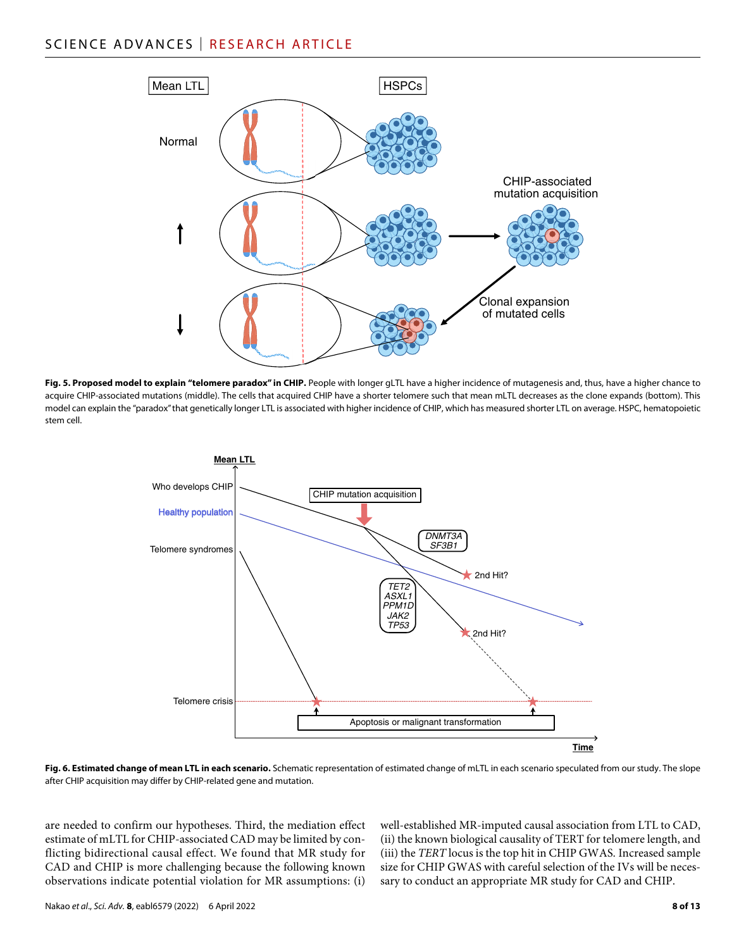# SCIENCE ADVANCES | RESEARCH ARTICLE



Fig. 5. Proposed model to explain "telomere paradox" in CHIP. People with longer gLTL have a higher incidence of mutagenesis and, thus, have a higher chance to acquire CHIP-associated mutations (middle). The cells that acquired CHIP have a shorter telomere such that mean mLTL decreases as the clone expands (bottom). This model can explain the "paradox" that genetically longer LTL is associated with higher incidence of CHIP, which has measured shorter LTL on average. HSPC, hematopoietic stem cell.



**Fig. 6. Estimated change of mean LTL in each scenario.** Schematic representation of estimated change of mLTL in each scenario speculated from our study. The slope after CHIP acquisition may differ by CHIP-related gene and mutation.

are needed to confirm our hypotheses. Third, the mediation effect estimate of mLTL for CHIP-associated CAD may be limited by conflicting bidirectional causal effect. We found that MR study for CAD and CHIP is more challenging because the following known observations indicate potential violation for MR assumptions: (i)

well-established MR-imputed causal association from LTL to CAD, (ii) the known biological causality of TERT for telomere length, and (iii) the *TERT* locus is the top hit in CHIP GWAS. Increased sample size for CHIP GWAS with careful selection of the IVs will be necessary to conduct an appropriate MR study for CAD and CHIP.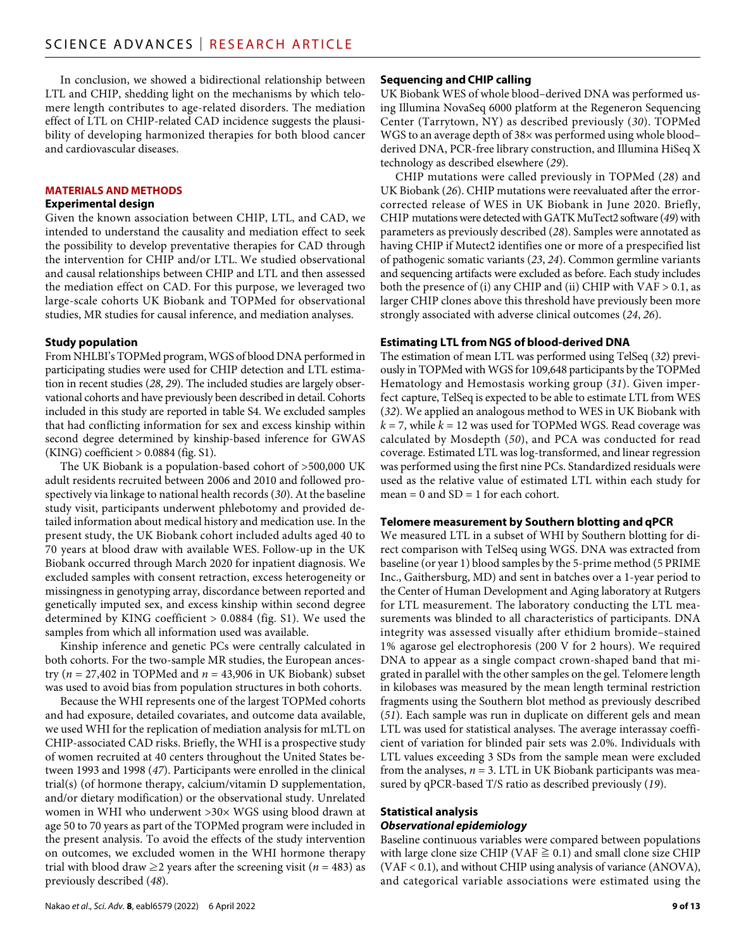In conclusion, we showed a bidirectional relationship between LTL and CHIP, shedding light on the mechanisms by which telomere length contributes to age-related disorders. The mediation effect of LTL on CHIP-related CAD incidence suggests the plausibility of developing harmonized therapies for both blood cancer and cardiovascular diseases.

#### **MATERIALS AND METHODS**

#### **Experimental design**

Given the known association between CHIP, LTL, and CAD, we intended to understand the causality and mediation effect to seek the possibility to develop preventative therapies for CAD through the intervention for CHIP and/or LTL. We studied observational and causal relationships between CHIP and LTL and then assessed the mediation effect on CAD. For this purpose, we leveraged two large-scale cohorts UK Biobank and TOPMed for observational studies, MR studies for causal inference, and mediation analyses.

### **Study population**

From NHLBI's TOPMed program, WGS of blood DNA performed in participating studies were used for CHIP detection and LTL estimation in recent studies (*28*, *29*). The included studies are largely observational cohorts and have previously been described in detail. Cohorts included in this study are reported in table S4. We excluded samples that had conflicting information for sex and excess kinship within second degree determined by kinship-based inference for GWAS (KING) coefficient > 0.0884 (fig. S1).

The UK Biobank is a population-based cohort of >500,000 UK adult residents recruited between 2006 and 2010 and followed prospectively via linkage to national health records (*30*). At the baseline study visit, participants underwent phlebotomy and provided detailed information about medical history and medication use. In the present study, the UK Biobank cohort included adults aged 40 to 70 years at blood draw with available WES. Follow-up in the UK Biobank occurred through March 2020 for inpatient diagnosis. We excluded samples with consent retraction, excess heterogeneity or missingness in genotyping array, discordance between reported and genetically imputed sex, and excess kinship within second degree determined by KING coefficient > 0.0884 (fig. S1). We used the samples from which all information used was available.

Kinship inference and genetic PCs were centrally calculated in both cohorts. For the two-sample MR studies, the European ancestry ( $n = 27,402$  in TOPMed and  $n = 43,906$  in UK Biobank) subset was used to avoid bias from population structures in both cohorts.

Because the WHI represents one of the largest TOPMed cohorts and had exposure, detailed covariates, and outcome data available, we used WHI for the replication of mediation analysis for mLTL on CHIP-associated CAD risks. Briefly, the WHI is a prospective study of women recruited at 40 centers throughout the United States between 1993 and 1998 (*47*). Participants were enrolled in the clinical trial(s) (of hormone therapy, calcium/vitamin D supplementation, and/or dietary modification) or the observational study. Unrelated women in WHI who underwent >30× WGS using blood drawn at age 50 to 70 years as part of the TOPMed program were included in the present analysis. To avoid the effects of the study intervention on outcomes, we excluded women in the WHI hormone therapy trial with blood draw  $\geq$ 2 years after the screening visit (*n* = 483) as previously described (*48*).

#### **Sequencing and CHIP calling**

UK Biobank WES of whole blood–derived DNA was performed using Illumina NovaSeq 6000 platform at the Regeneron Sequencing Center (Tarrytown, NY) as described previously (*30*). TOPMed WGS to an average depth of 38× was performed using whole blood– derived DNA, PCR-free library construction, and Illumina HiSeq X technology as described elsewhere (*29*).

CHIP mutations were called previously in TOPMed (*28*) and UK Biobank (*26*). CHIP mutations were reevaluated after the errorcorrected release of WES in UK Biobank in June 2020. Briefly, CHIP mutations were detected with GATK MuTect2 software (*49*) with parameters as previously described (*28*). Samples were annotated as having CHIP if Mutect2 identifies one or more of a prespecified list of pathogenic somatic variants (*23*, *24*). Common germline variants and sequencing artifacts were excluded as before. Each study includes both the presence of (i) any CHIP and (ii) CHIP with  $VAF > 0.1$ , as larger CHIP clones above this threshold have previously been more strongly associated with adverse clinical outcomes (*24*, *26*).

#### **Estimating LTL from NGS of blood-derived DNA**

The estimation of mean LTL was performed using TelSeq (*32*) previously in TOPMed with WGS for 109,648 participants by the TOPMed Hematology and Hemostasis working group (*31*). Given imperfect capture, TelSeq is expected to be able to estimate LTL from WES (*32*). We applied an analogous method to WES in UK Biobank with  $k = 7$ , while  $k = 12$  was used for TOPMed WGS. Read coverage was calculated by Mosdepth (*50*), and PCA was conducted for read coverage. Estimated LTL was log-transformed, and linear regression was performed using the first nine PCs. Standardized residuals were used as the relative value of estimated LTL within each study for  $mean = 0$  and  $SD = 1$  for each cohort.

#### **Telomere measurement by Southern blotting and qPCR**

We measured LTL in a subset of WHI by Southern blotting for direct comparison with TelSeq using WGS. DNA was extracted from baseline (or year 1) blood samples by the 5-prime method (5 PRIME Inc., Gaithersburg, MD) and sent in batches over a 1-year period to the Center of Human Development and Aging laboratory at Rutgers for LTL measurement. The laboratory conducting the LTL measurements was blinded to all characteristics of participants. DNA integrity was assessed visually after ethidium bromide–stained 1% agarose gel electrophoresis (200 V for 2 hours). We required DNA to appear as a single compact crown-shaped band that migrated in parallel with the other samples on the gel. Telomere length in kilobases was measured by the mean length terminal restriction fragments using the Southern blot method as previously described (*51*). Each sample was run in duplicate on different gels and mean LTL was used for statistical analyses. The average interassay coefficient of variation for blinded pair sets was 2.0%. Individuals with LTL values exceeding 3 SDs from the sample mean were excluded from the analyses,  $n = 3$ . LTL in UK Biobank participants was measured by qPCR-based T/S ratio as described previously (*19*).

#### **Statistical analysis** *Observational epidemiology*

Baseline continuous variables were compared between populations with large clone size CHIP (VAF  $\geq$  0.1) and small clone size CHIP (VAF < 0.1), and without CHIP using analysis of variance (ANOVA), and categorical variable associations were estimated using the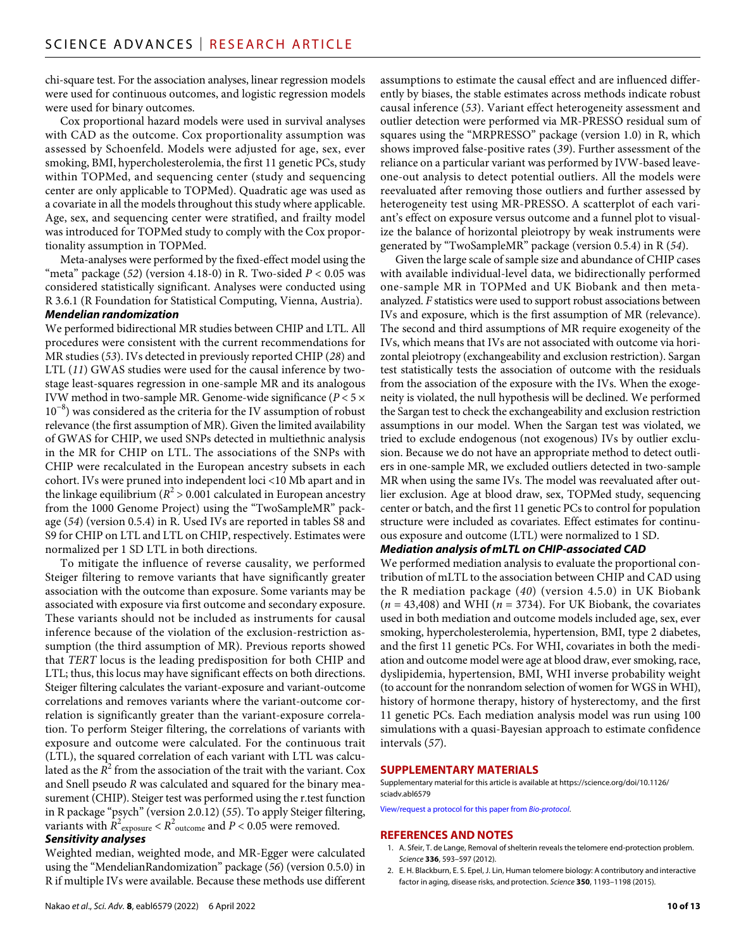chi-square test. For the association analyses, linear regression models were used for continuous outcomes, and logistic regression models were used for binary outcomes.

Cox proportional hazard models were used in survival analyses with CAD as the outcome. Cox proportionality assumption was assessed by Schoenfeld. Models were adjusted for age, sex, ever smoking, BMI, hypercholesterolemia, the first 11 genetic PCs, study within TOPMed, and sequencing center (study and sequencing center are only applicable to TOPMed). Quadratic age was used as a covariate in all the models throughout this study where applicable. Age, sex, and sequencing center were stratified, and frailty model was introduced for TOPMed study to comply with the Cox proportionality assumption in TOPMed.

Meta-analyses were performed by the fixed-effect model using the "meta" package  $(52)$  (version 4.18-0) in R. Two-sided  $P < 0.05$  was considered statistically significant. Analyses were conducted using R 3.6.1 (R Foundation for Statistical Computing, Vienna, Austria).

## *Mendelian randomization*

We performed bidirectional MR studies between CHIP and LTL. All procedures were consistent with the current recommendations for MR studies (*53*). IVs detected in previously reported CHIP (*28*) and LTL (*11*) GWAS studies were used for the causal inference by twostage least-squares regression in one-sample MR and its analogous IVW method in two-sample MR. Genome-wide significance (*P* < 5 × 10−8) was considered as the criteria for the IV assumption of robust relevance (the first assumption of MR). Given the limited availability of GWAS for CHIP, we used SNPs detected in multiethnic analysis in the MR for CHIP on LTL. The associations of the SNPs with CHIP were recalculated in the European ancestry subsets in each cohort. IVs were pruned into independent loci <10 Mb apart and in the linkage equilibrium ( $R^2$  > 0.001 calculated in European ancestry from the 1000 Genome Project) using the "TwoSampleMR" package (*54*) (version 0.5.4) in R. Used IVs are reported in tables S8 and S9 for CHIP on LTL and LTL on CHIP, respectively. Estimates were normalized per 1 SD LTL in both directions.

To mitigate the influence of reverse causality, we performed Steiger filtering to remove variants that have significantly greater association with the outcome than exposure. Some variants may be associated with exposure via first outcome and secondary exposure. These variants should not be included as instruments for causal inference because of the violation of the exclusion-restriction assumption (the third assumption of MR). Previous reports showed that *TERT* locus is the leading predisposition for both CHIP and LTL; thus, this locus may have significant effects on both directions. Steiger filtering calculates the variant-exposure and variant-outcome correlations and removes variants where the variant-outcome correlation is significantly greater than the variant-exposure correlation. To perform Steiger filtering, the correlations of variants with exposure and outcome were calculated. For the continuous trait (LTL), the squared correlation of each variant with LTL was calculated as the  $R^2$  from the association of the trait with the variant. Cox and Snell pseudo *R* was calculated and squared for the binary measurement (CHIP). Steiger test was performed using the r.test function in R package "psych" (version 2.0.12) (*55*). To apply Steiger filtering, variants with  $R^2_{\text{ exposure}} < R^2_{\text{ outcome}}$  and  $P < 0.05$  were removed.

#### *Sensitivity analyses*

Weighted median, weighted mode, and MR-Egger were calculated using the "MendelianRandomization" package (*56*) (version 0.5.0) in R if multiple IVs were available. Because these methods use different assumptions to estimate the causal effect and are influenced differently by biases, the stable estimates across methods indicate robust causal inference (*53*). Variant effect heterogeneity assessment and outlier detection were performed via MR-PRESSO residual sum of squares using the "MRPRESSO" package (version 1.0) in R, which shows improved false-positive rates (*39*). Further assessment of the reliance on a particular variant was performed by IVW-based leaveone-out analysis to detect potential outliers. All the models were reevaluated after removing those outliers and further assessed by heterogeneity test using MR-PRESSO. A scatterplot of each variant's effect on exposure versus outcome and a funnel plot to visualize the balance of horizontal pleiotropy by weak instruments were generated by "TwoSampleMR" package (version 0.5.4) in R (*54*).

Given the large scale of sample size and abundance of CHIP cases with available individual-level data, we bidirectionally performed one-sample MR in TOPMed and UK Biobank and then metaanalyzed. *F* statistics were used to support robust associations between IVs and exposure, which is the first assumption of MR (relevance). The second and third assumptions of MR require exogeneity of the IVs, which means that IVs are not associated with outcome via horizontal pleiotropy (exchangeability and exclusion restriction). Sargan test statistically tests the association of outcome with the residuals from the association of the exposure with the IVs. When the exogeneity is violated, the null hypothesis will be declined. We performed the Sargan test to check the exchangeability and exclusion restriction assumptions in our model. When the Sargan test was violated, we tried to exclude endogenous (not exogenous) IVs by outlier exclusion. Because we do not have an appropriate method to detect outliers in one-sample MR, we excluded outliers detected in two-sample MR when using the same IVs. The model was reevaluated after outlier exclusion. Age at blood draw, sex, TOPMed study, sequencing center or batch, and the first 11 genetic PCs to control for population structure were included as covariates. Effect estimates for continuous exposure and outcome (LTL) were normalized to 1 SD.

#### *Mediation analysis of mLTL on CHIP-associated CAD*

We performed mediation analysis to evaluate the proportional contribution of mLTL to the association between CHIP and CAD using the R mediation package (*40*) (version 4.5.0) in UK Biobank  $(n = 43,408)$  and WHI ( $n = 3734$ ). For UK Biobank, the covariates used in both mediation and outcome models included age, sex, ever smoking, hypercholesterolemia, hypertension, BMI, type 2 diabetes, and the first 11 genetic PCs. For WHI, covariates in both the mediation and outcome model were age at blood draw, ever smoking, race, dyslipidemia, hypertension, BMI, WHI inverse probability weight (to account for the nonrandom selection of women for WGS in WHI), history of hormone therapy, history of hysterectomy, and the first 11 genetic PCs. Each mediation analysis model was run using 100 simulations with a quasi-Bayesian approach to estimate confidence intervals (*57*).

#### **SUPPLEMENTARY MATERIALS**

Supplementary material for this article is available at [https://science.org/doi/10.1126/](https://science.org/doi/10.1126/sciadv.abl6579) [sciadv.abl6579](https://science.org/doi/10.1126/sciadv.abl6579)

[View/request a protocol for this paper from](https://en.bio-protocol.org/cjrap.aspx?eid=10.1126/sciadv.abl6579) *Bio-protocol*.

#### **REFERENCES AND NOTES**

- 1. A. Sfeir, T. de Lange, Removal of shelterin reveals the telomere end-protection problem. *Science* **336**, 593–597 (2012).
- 2. E. H. Blackburn, E. S. Epel, J. Lin, Human telomere biology: A contributory and interactive factor in aging, disease risks, and protection. *Science* **350**, 1193–1198 (2015).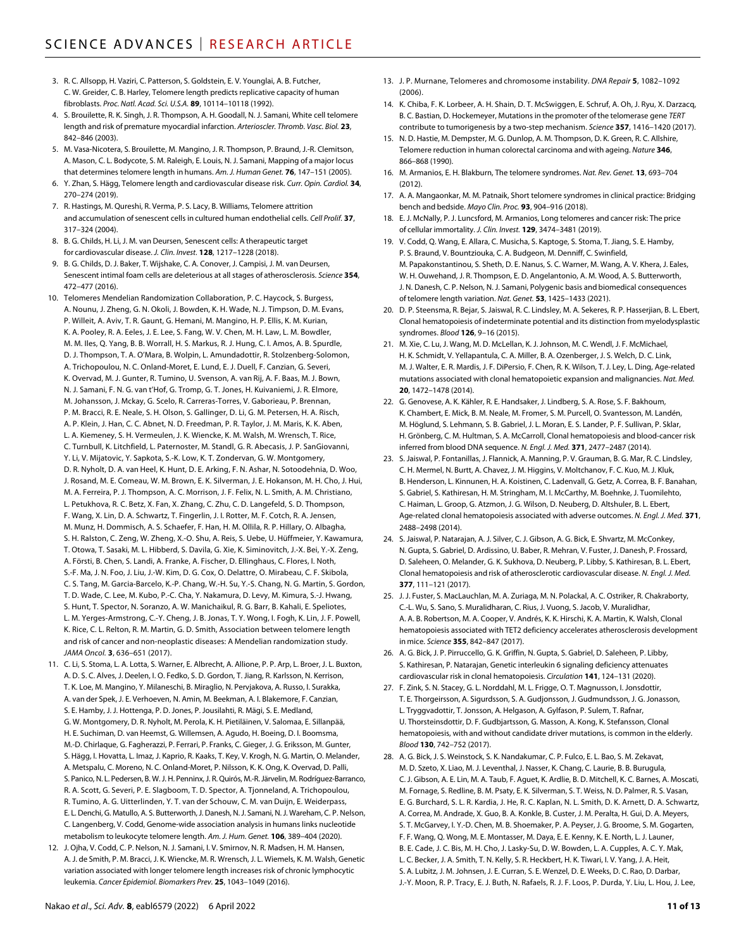- 3. R. C. Allsopp, H. Vaziri, C. Patterson, S. Goldstein, E. V. Younglai, A. B. Futcher, C. W. Greider, C. B. Harley, Telomere length predicts replicative capacity of human fibroblasts. *Proc. Natl. Acad. Sci. U.S.A.* **89**, 10114–10118 (1992).
- 4. S. Brouilette, R. K. Singh, J. R. Thompson, A. H. Goodall, N. J. Samani, White cell telomere length and risk of premature myocardial infarction. *Arterioscler. Thromb. Vasc. Biol.* **23**, 842–846 (2003).
- 5. M. Vasa-Nicotera, S. Brouilette, M. Mangino, J. R. Thompson, P. Braund, J.-R. Clemitson, A. Mason, C. L. Bodycote, S. M. Raleigh, E. Louis, N. J. Samani, Mapping of a major locus that determines telomere length in humans. *Am. J. Human Genet.* **76**, 147–151 (2005).
- 6. Y. Zhan, S. Hägg, Telomere length and cardiovascular disease risk. *Curr. Opin. Cardiol.* **34**, 270–274 (2019).
- 7. R. Hastings, M. Qureshi, R. Verma, P. S. Lacy, B. Williams, Telomere attrition and accumulation ofsenescent cells in cultured human endothelial cells. *Cell Prolif.* **37**, 317–324 (2004).
- 8. B. G. Childs, H. Li, J. M. van Deursen, Senescent cells: A therapeutic target for cardiovascular disease. *J. Clin. Invest.* **128**, 1217–1228 (2018).
- 9. B. G. Childs, D. J. Baker, T. Wijshake, C. A. Conover, J. Campisi, J. M. van Deursen, Senescent intimal foam cells are deleterious at all stages of atherosclerosis. *Science* **354**, 472–477 (2016).
- 10. Telomeres Mendelian Randomization Collaboration, P. C. Haycock, S. Burgess, A. Nounu, J. Zheng, G. N. Okoli, J. Bowden, K. H. Wade, N. J. Timpson, D. M. Evans, P. Willeit, A. Aviv, T. R. Gaunt, G. Hemani, M. Mangino, H. P. Ellis, K. M. Kurian, K. A. Pooley, R. A. Eeles, J. E. Lee, S. Fang, W. V. Chen, M. H. Law, L. M. Bowdler, M. M. Iles, Q. Yang, B. B. Worrall, H. S. Markus, R. J. Hung, C. I. Amos, A. B. Spurdle, D. J. Thompson, T. A. O'Mara, B. Wolpin, L. Amundadottir, R. Stolzenberg-Solomon, A. Trichopoulou, N. C. Onland-Moret, E. Lund, E. J. Duell, F. Canzian, G. Severi, K. Overvad, M. J. Gunter, R. Tumino, U. Svenson, A. van Rij, A. F. Baas, M. J. Bown, N. J. Samani, F. N. G. van t'Hof, G. Tromp, G. T. Jones, H. Kuivaniemi, J. R. Elmore, M. Johansson, J. Mckay, G. Scelo, R. Carreras-Torres, V. Gaborieau, P. Brennan, P. M. Bracci, R. E. Neale, S. H. Olson, S. Gallinger, D. Li, G. M. Petersen, H. A. Risch, A. P. Klein, J. Han, C. C. Abnet, N. D. Freedman, P. R. Taylor, J. M. Maris, K. K. Aben, L. A. Kiemeney, S. H. Vermeulen, J. K. Wiencke, K. M. Walsh, M. Wrensch, T. Rice, C. Turnbull, K. Litchfield, L. Paternoster, M. Standl, G. R. Abecasis, J. P. SanGiovanni, Y. Li, V. Mijatovic, Y. Sapkota, S.-K. Low, K. T. Zondervan, G. W. Montgomery, D. R. Nyholt, D. A. van Heel, K. Hunt, D. E. Arking, F. N. Ashar, N. Sotoodehnia, D. Woo, J. Rosand, M. E. Comeau, W. M. Brown, E. K. Silverman, J. E. Hokanson, M. H. Cho, J. Hui, M. A. Ferreira, P. J. Thompson, A. C. Morrison, J. F. Felix, N. L. Smith, A. M. Christiano, L. Petukhova, R. C. Betz, X. Fan, X. Zhang, C. Zhu, C. D. Langefeld, S. D. Thompson, F. Wang, X. Lin, D. A. Schwartz, T. Fingerlin, J. I. Rotter, M. F. Cotch, R. A. Jensen, M. Munz, H. Dommisch, A. S. Schaefer, F. Han, H. M. Ollila, R. P. Hillary, O. Albagha, S. H. Ralston, C. Zeng, W. Zheng, X.-O. Shu, A. Reis, S. Uebe, U. Hüffmeier, Y. Kawamura, T. Otowa, T. Sasaki, M. L. Hibberd, S. Davila, G. Xie, K. Siminovitch, J.-X. Bei, Y.-X. Zeng, A. Försti, B. Chen, S. Landi, A. Franke, A. Fischer, D. Ellinghaus, C. Flores, I. Noth, S.-F. Ma, J. N. Foo, J. Liu, J.-W. Kim, D. G. Cox, O. Delattre, O. Mirabeau, C. F. Skibola, C. S. Tang, M. Garcia-Barcelo, K.-P. Chang, W.-H. Su, Y.-S. Chang, N. G. Martin, S. Gordon, T. D. Wade, C. Lee, M. Kubo, P.-C. Cha, Y. Nakamura, D. Levy, M. Kimura, S.-J. Hwang, S. Hunt, T. Spector, N. Soranzo, A. W. Manichaikul, R. G. Barr, B. Kahali, E. Speliotes, L. M. Yerges-Armstrong, C.-Y. Cheng, J. B. Jonas, T. Y. Wong, I. Fogh, K. Lin, J. F. Powell, K. Rice, C. L. Relton, R. M. Martin, G. D. Smith, Association between telomere length and risk of cancer and non-neoplastic diseases: A Mendelian randomization study. *JAMA Oncol.* **3**, 636–651 (2017).
- 11. C. Li, S. Stoma, L. A. Lotta, S. Warner, E. Albrecht, A. Allione, P. P. Arp, L. Broer, J. L. Buxton, A. D. S. C. Alves, J. Deelen, I. O. Fedko, S. D. Gordon, T. Jiang, R. Karlsson, N. Kerrison, T. K. Loe, M. Mangino, Y. Milaneschi, B. Miraglio, N. Pervjakova, A. Russo, I. Surakka, A. van der Spek, J. E. Verhoeven, N. Amin, M. Beekman, A. I. Blakemore, F. Canzian, S. E. Hamby, J. J. Hottenga, P. D. Jones, P. Jousilahti, R. Mägi, S. E. Medland, G. W. Montgomery, D. R. Nyholt, M. Perola, K. H. Pietiläinen, V. Salomaa, E. Sillanpää, H. E. Suchiman, D. van Heemst, G. Willemsen, A. Agudo, H. Boeing, D. I. Boomsma, M.-D. Chirlaque, G. Fagherazzi, P. Ferrari, P. Franks, C. Gieger, J. G. Eriksson, M. Gunter, S. Hägg, I. Hovatta, L. Imaz, J. Kaprio, R. Kaaks, T. Key, V. Krogh, N. G. Martin, O. Melander, A. Metspalu, C. Moreno, N. C. Onland-Moret, P. Nilsson, K. K. Ong, K. Overvad, D. Palli, S. Panico, N. L. Pedersen, B. W.J. H. Penninx, J. R.Quirós, M.-R.Järvelin, M. Rodríguez-Barranco, R. A. Scott, G. Severi, P. E. Slagboom, T. D. Spector, A. Tjonneland, A. Trichopoulou, R. Tumino, A. G. Uitterlinden, Y. T. van der Schouw, C. M. van Duijn, E. Weiderpass, E. L. Denchi, G. Matullo, A. S. Butterworth, J. Danesh, N.J. Samani, N.J. Wareham, C. P. Nelson, C. Langenberg, V. Codd, Genome-wide association analysis in humans links nucleotide metabolism to leukocyte telomere length. *Am. J. Hum. Genet.* **106**, 389–404 (2020).
- 12. J. Ojha, V. Codd, C. P. Nelson, N. J. Samani, I. V. Smirnov, N. R. Madsen, H. M. Hansen, A. J. de Smith, P. M. Bracci, J. K. Wiencke, M. R. Wrensch, J. L. Wiemels, K. M. Walsh, Genetic variation associated with longer telomere length increases risk of chronic lymphocytic leukemia. *Cancer Epidemiol. Biomarkers Prev.* **25**, 1043–1049 (2016).
- 13. J. P. Murnane, Telomeres and chromosome instability. *DNA Repair* **5**, 1082–1092  $(2006)$
- 14. K. Chiba, F. K. Lorbeer, A. H. Shain, D. T. McSwiggen, E. Schruf, A. Oh, J. Ryu, X. Darzacq, B. C. Bastian, D. Hockemeyer, Mutations in the promoter of the telomerase gene *TERT* contribute to tumorigenesis by a two-step mechanism. *Science* **357**, 1416–1420 (2017).
- 15. N. D. Hastie, M. Dempster, M. G. Dunlop, A. M. Thompson, D. K. Green, R. C. Allshire, Telomere reduction in human colorectal carcinoma and with ageing. *Nature* **346**, 866–868 (1990).
- 16. M. Armanios, E. H. Blakburn, The telomere syndromes. *Nat. Rev. Genet.* **13**, 693–704 (2012).
- 17. A. A. Mangaonkar, M. M. Patnaik, Short telomere syndromes in clinical practice: Bridging bench and bedside. *Mayo Clin. Proc.* **93**, 904–916 (2018).
- 18. E. J. McNally, P. J. Luncsford, M. Armanios, Long telomeres and cancer risk: The price of cellular immortality. *J. Clin. Invest.* **129**, 3474–3481 (2019).
- 19. V. Codd, Q. Wang, E. Allara, C. Musicha, S. Kaptoge, S. Stoma, T. Jiang, S. E. Hamby, P. S. Braund, V. Bountziouka, C. A. Budgeon, M. Denniff, C. Swinfield, M. Papakonstantinou, S. Sheth, D. E. Nanus, S. C. Warner, M. Wang, A. V. Khera, J. Eales, W. H. Ouwehand, J. R. Thompson, E. D. Angelantonio, A. M. Wood, A. S. Butterworth, J. N. Danesh, C. P. Nelson, N. J. Samani, Polygenic basis and biomedical consequences of telomere length variation. *Nat. Genet.* **53**, 1425–1433 (2021).
- 20. D. P. Steensma, R. Bejar, S. Jaiswal, R. C. Lindsley, M. A. Sekeres, R. P. Hasserjian, B. L. Ebert, Clonal hematopoiesis of indeterminate potential and its distinction from myelodysplastic syndromes. *Blood* **126**, 9–16 (2015).
- 21. M. Xie, C. Lu, J. Wang, M. D. McLellan, K. J. Johnson, M. C. Wendl, J. F. McMichael, H. K. Schmidt, V. Yellapantula, C. A. Miller, B. A. Ozenberger, J. S. Welch, D. C. Link, M. J. Walter, E. R. Mardis, J. F. DiPersio, F. Chen, R. K. Wilson, T. J. Ley, L. Ding, Age-related mutations associated with clonal hematopoietic expansion and malignancies. *Nat. Med.* **20**, 1472–1478 (2014).
- 22. G. Genovese, A. K. Kähler, R. E. Handsaker, J. Lindberg, S. A. Rose, S. F. Bakhoum, K. Chambert, E. Mick, B. M. Neale, M. Fromer, S. M. Purcell, O. Svantesson, M. Landén, M. Höglund, S. Lehmann, S. B. Gabriel, J. L. Moran, E. S. Lander, P. F. Sullivan, P. Sklar, H. Grönberg, C. M. Hultman, S. A. McCarroll, Clonal hematopoiesis and blood-cancer risk inferred from blood DNA sequence. *N. Engl. J. Med.* **371**, 2477–2487 (2014).
- 23. S. Jaiswal, P. Fontanillas, J. Flannick, A. Manning, P. V. Grauman, B. G. Mar, R. C. Lindsley, C. H. Mermel, N. Burtt, A. Chavez, J. M. Higgins, V. Moltchanov, F. C. Kuo, M. J. Kluk, B. Henderson, L. Kinnunen, H. A. Koistinen, C. Ladenvall, G. Getz, A. Correa, B. F. Banahan, S. Gabriel, S. Kathiresan, H. M. Stringham, M. I. McCarthy, M. Boehnke, J. Tuomilehto, C. Haiman, L. Groop, G. Atzmon, J. G. Wilson, D. Neuberg, D. Altshuler, B. L. Ebert, Age-related clonal hematopoiesis associated with adverse outcomes. *N. Engl. J. Med.* **371**, 2488–2498 (2014).
- 24. S. Jaiswal, P. Natarajan, A. J. Silver, C. J. Gibson, A. G. Bick, E. Shvartz, M. McConkey, N. Gupta, S. Gabriel, D. Ardissino, U. Baber, R. Mehran, V. Fuster, J. Danesh, P. Frossard, D. Saleheen, O. Melander, G. K. Sukhova, D. Neuberg, P. Libby, S. Kathiresan, B. L. Ebert, Clonal hematopoiesis and risk of atherosclerotic cardiovascular disease. *N. Engl. J. Med.* **377**, 111–121 (2017).
- 25. J. J. Fuster, S. MacLauchlan, M. A. Zuriaga, M. N. Polackal, A. C. Ostriker, R. Chakraborty, C.-L. Wu, S. Sano, S. Muralidharan, C. Rius, J. Vuong, S. Jacob, V. Muralidhar, A. A. B. Robertson, M. A. Cooper, V. Andrés, K. K. Hirschi, K. A. Martin, K. Walsh, Clonal hematopoiesis associated with TET2 deficiency accelerates atherosclerosis development in mice. *Science* **355**, 842–847 (2017).
- 26. A. G. Bick, J. P. Pirruccello, G. K. Griffin, N. Gupta, S. Gabriel, D. Saleheen, P. Libby, S. Kathiresan, P. Natarajan, Genetic interleukin 6 signaling deficiency attenuates cardiovascular risk in clonal hematopoiesis. *Circulation* **141**, 124–131 (2020).
- 27. F. Zink, S. N. Stacey, G. L. Norddahl, M. L. Frigge, O. T. Magnusson, I. Jonsdottir, T. E. Thorgeirsson, A. Sigurdsson, S. A. Gudjonsson, J. Gudmundsson, J. G. Jonasson, L. Tryggvadottir, T. Jonsson, A. Helgason, A. Gylfason, P. Sulem, T. Rafnar, U. Thorsteinsdottir, D. F. Gudbjartsson, G. Masson, A. Kong, K. Stefansson, Clonal hematopoiesis, with and without candidate driver mutations, is common in the elderly. *Blood* **130**, 742–752 (2017).
- 28. A. G. Bick, J. S. Weinstock, S. K. Nandakumar, C. P. Fulco, E. L. Bao, S. M. Zekavat, M. D. Szeto, X. Liao, M. J. Leventhal, J. Nasser, K. Chang, C. Laurie, B. B. Burugula, C. J. Gibson, A. E. Lin, M. A. Taub, F. Aguet, K. Ardlie, B. D. Mitchell, K. C. Barnes, A. Moscati, M. Fornage, S. Redline, B. M. Psaty, E. K. Silverman, S. T. Weiss, N. D. Palmer, R. S. Vasan, E. G. Burchard, S. L. R. Kardia, J. He, R. C. Kaplan, N. L. Smith, D. K. Arnett, D. A. Schwartz, A. Correa, M. Andrade, X. Guo, B. A. Konkle, B. Custer, J. M. Peralta, H. Gui, D. A. Meyers, S. T. McGarvey, I. Y.-D. Chen, M. B. Shoemaker, P. A. Peyser, J. G. Broome, S. M. Gogarten, F. F. Wang, Q. Wong, M. E. Montasser, M. Daya, E. E. Kenny, K. E. North, L. J. Launer, B. E. Cade, J. C. Bis, M. H. Cho, J. Lasky-Su, D. W. Bowden, L. A. Cupples, A. C. Y. Mak, L. C. Becker, J. A. Smith, T. N. Kelly, S. R. Heckbert, H. K. Tiwari, I. V. Yang, J. A. Heit, S. A. Lubitz, J. M. Johnsen, J. E. Curran, S. E. Wenzel, D. E. Weeks, D. C. Rao, D. Darbar,
	- J.-Y. Moon, R. P. Tracy, E. J. Buth, N. Rafaels, R. J. F. Loos, P. Durda, Y. Liu, L. Hou, J. Lee,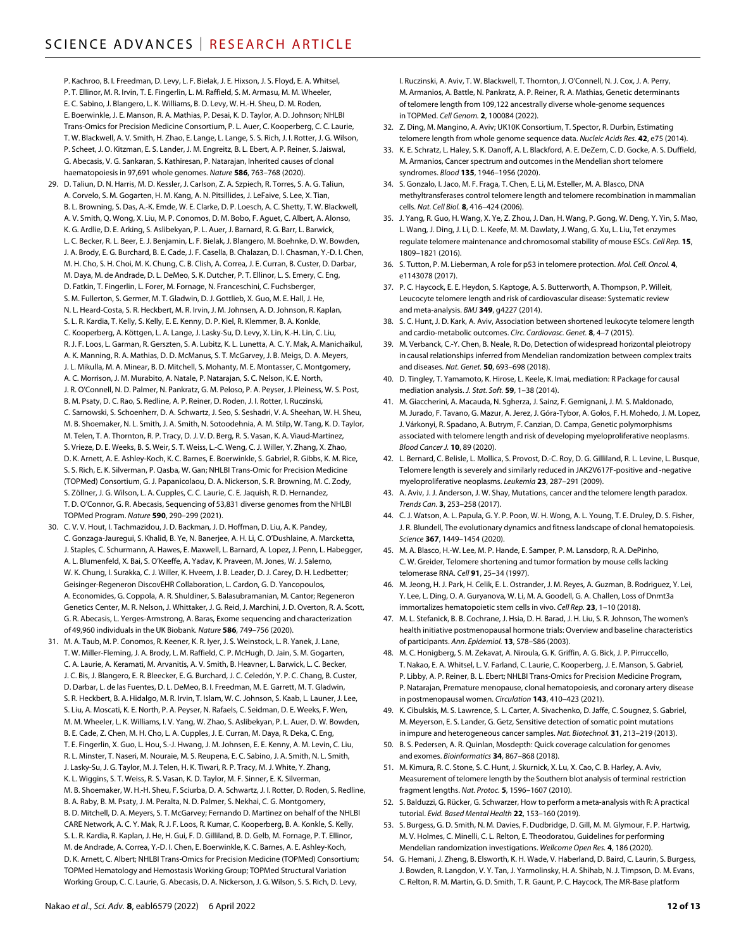P. Kachroo, B. I. Freedman, D. Levy, L. F. Bielak, J. E. Hixson, J. S. Floyd, E. A. Whitsel, P. T. Ellinor, M. R. Irvin, T. E. Fingerlin, L. M. Raffield, S. M. Armasu, M. M. Wheeler, E. C. Sabino, J. Blangero, L. K. Williams, B. D. Levy, W. H.-H. Sheu, D. M. Roden, E. Boerwinkle, J. E. Manson, R. A. Mathias, P. Desai, K. D. Taylor, A. D. Johnson; NHLBI Trans-Omics for Precision Medicine Consortium, P. L. Auer, C. Kooperberg, C. C. Laurie, T. W. Blackwell, A. V. Smith, H. Zhao, E. Lange, L. Lange, S. S. Rich, J. I. Rotter, J. G. Wilson, P. Scheet, J. O. Kitzman, E. S. Lander, J. M. Engreitz, B. L. Ebert, A. P. Reiner, S. Jaiswal, G. Abecasis, V. G. Sankaran, S. Kathiresan, P. Natarajan, Inherited causes of clonal haematopoiesis in 97,691 whole genomes. *Nature* **586**, 763–768 (2020).

- 29. D. Taliun, D. N. Harris, M. D. Kessler, J. Carlson, Z. A. Szpiech, R. Torres, S. A. G. Taliun, A. Corvelo, S. M. Gogarten, H. M. Kang, A. N. Pitsillides, J. LeFaive, S. Lee, X. Tian, B. L. Browning, S. Das, A.-K. Emde, W. E. Clarke, D. P. Loesch, A. C. Shetty, T. W. Blackwell, A. V. Smith, Q. Wong, X. Liu, M. P. Conomos, D. M. Bobo, F. Aguet, C. Albert, A. Alonso, K. G. Ardlie, D. E. Arking, S. Aslibekyan, P. L. Auer, J. Barnard, R. G. Barr, L. Barwick, L. C. Becker, R. L. Beer, E. J. Benjamin, L. F. Bielak, J. Blangero, M. Boehnke, D. W. Bowden, J. A. Brody, E. G. Burchard, B. E. Cade, J. F. Casella, B. Chalazan, D. I. Chasman, Y.-D. I. Chen, M. H. Cho, S. H. Choi, M. K. Chung, C. B. Clish, A. Correa, J. E. Curran, B. Custer, D. Darbar, M. Daya, M. de Andrade, D. L. DeMeo, S. K. Dutcher, P. T. Ellinor, L. S. Emery, C. Eng, D. Fatkin, T. Fingerlin, L. Forer, M. Fornage, N. Franceschini, C. Fuchsberger, S. M. Fullerton, S. Germer, M. T. Gladwin, D. J. Gottlieb, X. Guo, M. E. Hall, J. He, N. L. Heard-Costa, S. R. Heckbert, M. R. Irvin, J. M. Johnsen, A. D. Johnson, R. Kaplan, S. L. R. Kardia, T. Kelly, S. Kelly, E. E. Kenny, D. P. Kiel, R. Klemmer, B. A. Konkle, C. Kooperberg, A. Köttgen, L. A. Lange, J. Lasky-Su, D. Levy, X. Lin, K.-H. Lin, C. Liu, R. J. F. Loos, L. Garman, R. Gerszten, S. A. Lubitz, K. L. Lunetta, A. C. Y. Mak, A. Manichaikul, A. K. Manning, R. A. Mathias, D. D. McManus, S. T. McGarvey, J. B. Meigs, D. A. Meyers, J. L. Mikulla, M. A. Minear, B. D. Mitchell, S. Mohanty, M. E. Montasser, C. Montgomery, A. C. Morrison, J. M. Murabito, A. Natale, P. Natarajan, S. C. Nelson, K. E. North, J. R. O'Connell, N. D. Palmer, N. Pankratz, G. M. Peloso, P. A. Peyser, J. Pleiness, W. S. Post, B. M. Psaty, D. C. Rao, S. Redline, A. P. Reiner, D. Roden, J. I. Rotter, I. Ruczinski, C. Sarnowski, S. Schoenherr, D. A. Schwartz, J. Seo, S. Seshadri, V. A. Sheehan, W. H. Sheu, M. B. Shoemaker, N. L. Smith, J. A. Smith, N. Sotoodehnia, A. M. Stilp, W. Tang, K. D. Taylor, M. Telen, T. A. Thornton, R. P. Tracy, D. J. V. D. Berg, R. S. Vasan, K. A. Viaud-Martinez, S. Vrieze, D. E. Weeks, B. S. Weir, S. T. Weiss, L.-C. Weng, C. J. Willer, Y. Zhang, X. Zhao, D. K. Arnett, A. E. Ashley-Koch, K. C. Barnes, E. Boerwinkle, S. Gabriel, R. Gibbs, K. M. Rice, S. S. Rich, E. K. Silverman, P. Qasba, W. Gan; NHLBI Trans-Omic for Precision Medicine (TOPMed) Consortium, G. J. Papanicolaou, D. A. Nickerson, S. R. Browning, M. C. Zody, S. Zöllner, J. G. Wilson, L. A. Cupples, C. C. Laurie, C. E. Jaquish, R. D. Hernandez, T. D. O'Connor, G. R. Abecasis, Sequencing of 53,831 diverse genomes from the NHLBI TOPMed Program. *Nature* **590**, 290–299 (2021).
- 30. C. V. V. Hout, I. Tachmazidou, J. D. Backman, J. D. Hoffman, D. Liu, A. K. Pandey, C. Gonzaga-Jauregui, S. Khalid, B. Ye, N. Banerjee, A. H. Li, C. O'Dushlaine, A. Marcketta, J. Staples, C. Schurmann, A. Hawes, E. Maxwell, L. Barnard, A. Lopez, J. Penn, L. Habegger, A. L. Blumenfeld, X. Bai, S. O'Keeffe, A. Yadav, K. Praveen, M. Jones, W. J. Salerno, W. K. Chung, I. Surakka, C. J. Willer, K. Hveem, J. B. Leader, D. J. Carey, D. H. Ledbetter; Geisinger-Regeneron DiscovEHR Collaboration, L. Cardon, G. D. Yancopoulos, A. Economides, G. Coppola, A. R. Shuldiner, S. Balasubramanian, M. Cantor; Regeneron Genetics Center, M. R. Nelson, J. Whittaker, J. G. Reid, J. Marchini, J. D. Overton, R. A. Scott, G. R. Abecasis, L. Yerges-Armstrong, A. Baras, Exome sequencing and characterization of 49,960 individuals in the UK Biobank. *Nature* **586**, 749–756 (2020).
- 31. M. A. Taub, M. P. Conomos, R. Keener, K. R. Iyer, J. S. Weinstock, L. R. Yanek, J. Lane, T. W. Miller-Fleming, J. A. Brody, L. M. Raffield, C. P. McHugh, D. Jain, S. M. Gogarten, C. A. Laurie, A. Keramati, M. Arvanitis, A. V. Smith, B. Heavner, L. Barwick, L. C. Becker, J. C. Bis, J. Blangero, E. R. Bleecker, E. G. Burchard, J. C. Celedón, Y. P. C. Chang, B. Custer, D. Darbar, L. de las Fuentes, D. L. DeMeo, B. I. Freedman, M. E. Garrett, M. T. Gladwin, S. R. Heckbert, B. A. Hidalgo, M. R. Irvin, T. Islam, W. C. Johnson, S. Kaab, L. Launer, J. Lee, S. Liu, A. Moscati, K. E. North, P. A. Peyser, N. Rafaels, C. Seidman, D. E. Weeks, F. Wen, M. M. Wheeler, L. K. Williams, I. V. Yang, W. Zhao, S. Aslibekyan, P. L. Auer, D. W. Bowden, B. E. Cade, Z. Chen, M. H. Cho, L. A. Cupples, J. E. Curran, M. Daya, R. Deka, C. Eng, T. E. Fingerlin, X. Guo, L. Hou, S.-J. Hwang, J. M. Johnsen, E. E. Kenny, A. M. Levin, C. Liu, R. L. Minster, T. Naseri, M. Nouraie, M. S. Reupena, E. C. Sabino, J. A. Smith, N. L. Smith, J. Lasky-Su, J. G. Taylor, M. J. Telen, H. K. Tiwari, R. P. Tracy, M. J. White, Y. Zhang, K. L. Wiggins, S. T. Weiss, R. S. Vasan, K. D. Taylor, M. F. Sinner, E. K. Silverman, M. B. Shoemaker, W. H.-H. Sheu, F. Sciurba, D. A. Schwartz, J. I. Rotter, D. Roden, S. Redline, B. A. Raby, B. M. Psaty, J. M. Peralta, N. D. Palmer, S. Nekhai, C. G. Montgomery, B. D. Mitchell, D. A. Meyers, S. T. McGarvey; Fernando D. Martinez on behalf of the NHLBI CARE Network, A. C. Y. Mak, R. J. F. Loos, R. Kumar, C. Kooperberg, B. A. Konkle, S. Kelly, S. L. R. Kardia, R. Kaplan, J. He, H. Gui, F. D. Gilliland, B. D. Gelb, M. Fornage, P. T. Ellinor, M. de Andrade, A. Correa, Y.-D. I. Chen, E. Boerwinkle, K. C. Barnes, A. E. Ashley-Koch, D. K. Arnett, C. Albert; NHLBI Trans-Omics for Precision Medicine (TOPMed) Consortium; TOPMed Hematology and Hemostasis Working Group; TOPMed Structural Variation Working Group, C. C. Laurie, G. Abecasis, D. A. Nickerson, J. G. Wilson, S. S. Rich, D. Levy,

I. Ruczinski, A. Aviv, T. W. Blackwell, T. Thornton, J. O'Connell, N. J. Cox, J. A. Perry, M. Armanios, A. Battle, N. Pankratz, A. P. Reiner, R. A. Mathias, Genetic determinants of telomere length from 109,122 ancestrally diverse whole-genome sequences in TOPMed. *Cell Genom.* **2**, 100084 (2022).

- 32. Z. Ding, M. Mangino, A. Aviv; UK10K Consortium, T. Spector, R. Durbin, Estimating telomere length from whole genome sequence data. *Nucleic Acids Res.* **42**, e75 (2014).
- 33. K. E. Schratz, L. Haley, S. K. Danoff, A. L. Blackford, A. E. DeZern, C. D. Gocke, A. S. Duffield, M. Armanios, Cancer spectrum and outcomes in the Mendelian short telomere syndromes. *Blood* **135**, 1946–1956 (2020).
- 34. S. Gonzalo, I. Jaco, M. F. Fraga, T. Chen, E. Li, M. Esteller, M. A. Blasco, DNA methyltransferases control telomere length and telomere recombination in mammalian cells. *Nat. Cell Biol.* **8**, 416–424 (2006).
- 35. J. Yang, R. Guo, H. Wang, X. Ye, Z. Zhou, J. Dan, H. Wang, P. Gong, W. Deng, Y. Yin, S. Mao, L. Wang, J. Ding, J. Li, D. L. Keefe, M. M. Dawlaty, J. Wang, G. Xu, L. Liu, Tet enzymes regulate telomere maintenance and chromosomal stability of mouse ESCs. *Cell Rep.* **15**, 1809–1821 (2016).
- 36. S. Tutton, P. M. Lieberman, A role for p53 in telomere protection. *Mol. Cell. Oncol.* **4**, e1143078 (2017).
- 37. P. C. Haycock, E. E. Heydon, S. Kaptoge, A. S. Butterworth, A. Thompson, P. Willeit, Leucocyte telomere length and risk of cardiovascular disease: Systematic review and meta-analysis. *BMJ* **349**, g4227 (2014).
- 38. S. C. Hunt, J. D. Kark, A. Aviv, Association between shortened leukocyte telomere length and cardio-metabolic outcomes. *Circ. Cardiovasc. Genet.* **8**, 4–7 (2015).
- 39. M. Verbanck, C.-Y. Chen, B. Neale, R. Do, Detection of widespread horizontal pleiotropy in causal relationships inferred from Mendelian randomization between complex traits and diseases. *Nat. Genet.* **50**, 693–698 (2018).
- 40. D. Tingley, T. Yamamoto, K. Hirose, L. Keele, K. Imai, mediation: R Package for causal mediation analysis. *J. Stat. Soft.* **59**, 1–38 (2014).
- 41. M. Giaccherini, A. Macauda, N. Sgherza, J. Sainz, F. Gemignani, J. M. S. Maldonado, M. Jurado, F. Tavano, G. Mazur, A. Jerez, J. Góra-Tybor, A. Gołos, F. H. Mohedo, J. M. Lopez, J. Várkonyi, R. Spadano, A. Butrym, F. Canzian, D. Campa, Genetic polymorphisms associated with telomere length and risk of developing myeloproliferative neoplasms. *Blood Cancer J.* **10**, 89 (2020).
- 42. L. Bernard, C. Belisle, L. Mollica, S. Provost, D.-C. Roy, D. G. Gilliland, R. L. Levine, L. Busque, Telomere length is severely and similarly reduced in JAK2V617F-positive and -negative myeloproliferative neoplasms. *Leukemia* **23**, 287–291 (2009).
- 43. A. Aviv, J. J. Anderson, J. W. Shay, Mutations, cancer and the telomere length paradox. *Trends Can.* **3**, 253–258 (2017).
- 44. C. J. Watson, A. L. Papula, G. Y. P. Poon, W. H. Wong, A. L. Young, T. E. Druley, D. S. Fisher, J. R. Blundell, The evolutionary dynamics and fitness landscape of clonal hematopoiesis. *Science* **367**, 1449–1454 (2020).
- 45. M. A. Blasco, H.-W. Lee, M. P. Hande, E. Samper, P. M. Lansdorp, R. A. DePinho, C. W. Greider, Telomere shortening and tumor formation by mouse cells lacking telomerase RNA. *Cell* **91**, 25–34 (1997).
- 46. M. Jeong, H. J. Park, H. Celik, E. L. Ostrander, J. M. Reyes, A. Guzman, B. Rodriguez, Y. Lei, Y. Lee, L. Ding, O. A. Guryanova, W. Li, M. A. Goodell, G. A. Challen, Loss ofDnmt3a immortalizes hematopoietic stem cells in vivo. *Cell Rep.* **23**, 1–10 (2018).
- 47. M. L. Stefanick, B. B. Cochrane, J. Hsia, D. H. Barad, J. H. Liu, S. R. Johnson, The women's health initiative postmenopausal hormone trials: Overview and baseline characteristics of participants. *Ann. Epidemiol.* **13**, S78–S86 (2003).
- 48. M. C. Honigberg, S. M. Zekavat, A. Niroula, G. K. Griffin, A. G. Bick, J. P. Pirruccello, T. Nakao, E. A. Whitsel, L. V. Farland, C. Laurie, C. Kooperberg, J. E. Manson, S. Gabriel, P. Libby, A. P. Reiner, B. L. Ebert; NHLBI Trans-Omics for Precision Medicine Program, P. Natarajan, Premature menopause, clonal hematopoiesis, and coronary artery disease in postmenopausal women. *Circulation* **143**, 410–423 (2021).
- 49. K. Cibulskis, M. S. Lawrence, S. L. Carter, A. Sivachenko, D. Jaffe, C. Sougnez, S. Gabriel, M. Meyerson, E. S. Lander, G. Getz, Sensitive detection of somatic point mutations in impure and heterogeneous cancer samples. *Nat. Biotechnol.* **31**, 213–219 (2013).
- 50. B. S. Pedersen, A. R. Quinlan, Mosdepth: Quick coverage calculation for genomes and exomes. *Bioinformatics* **34**, 867–868 (2018).
- 51. M. Kimura, R. C. Stone, S. C. Hunt, J. Skurnick, X. Lu, X. Cao, C. B. Harley, A. Aviv, Measurement of telomere length by the Southern blot analysis of terminal restriction fragment lengths. *Nat. Protoc.* **5**, 1596–1607 (2010).
- 52. S. Balduzzi, G. Rücker, G. Schwarzer, How to perform a meta-analysis with R: A practical tutorial. *Evid. Based Mental Health* **22**, 153–160 (2019).
- 53. S. Burgess, G. D. Smith, N. M. Davies, F. Dudbridge, D. Gill, M. M. Glymour, F. P. Hartwig, M. V. Holmes, C. Minelli, C. L. Relton, E. Theodoratou, Guidelines for performing Mendelian randomization investigations. *Wellcome Open Res.* **4**, 186 (2020).
- 54. G. Hemani, J. Zheng, B. Elsworth, K. H. Wade, V. Haberland, D. Baird, C. Laurin, S. Burgess, J. Bowden, R. Langdon, V. Y. Tan, J. Yarmolinsky, H. A. Shihab, N. J. Timpson, D. M. Evans, C. Relton, R. M. Martin, G. D. Smith, T. R. Gaunt, P. C. Haycock, The MR-Base platform